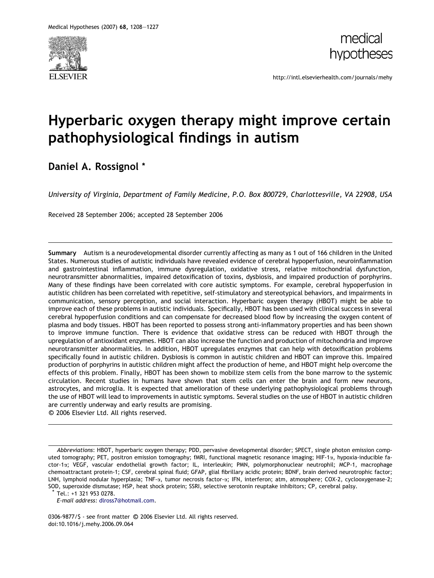



http://intl.elsevierhealth.com/journals/mehy

# Hyperbaric oxygen therapy might improve certain pathophysiological findings in autism

## Daniel A. Rossignol \*

University of Virginia, Department of Family Medicine, P.O. Box 800729, Charlottesville, VA 22908, USA

Received 28 September 2006; accepted 28 September 2006

Summary Autism is a neurodevelopmental disorder currently affecting as many as 1 out of 166 children in the United States. Numerous studies of autistic individuals have revealed evidence of cerebral hypoperfusion, neuroinflammation and gastrointestinal inflammation, immune dysregulation, oxidative stress, relative mitochondrial dysfunction, neurotransmitter abnormalities, impaired detoxification of toxins, dysbiosis, and impaired production of porphyrins. Many of these findings have been correlated with core autistic symptoms. For example, cerebral hypoperfusion in autistic children has been correlated with repetitive, self-stimulatory and stereotypical behaviors, and impairments in communication, sensory perception, and social interaction. Hyperbaric oxygen therapy (HBOT) might be able to improve each of these problems in autistic individuals. Specifically, HBOT has been used with clinical success in several cerebral hypoperfusion conditions and can compensate for decreased blood flow by increasing the oxygen content of plasma and body tissues. HBOT has been reported to possess strong anti-inflammatory properties and has been shown to improve immune function. There is evidence that oxidative stress can be reduced with HBOT through the upregulation of antioxidant enzymes. HBOT can also increase the function and production of mitochondria and improve neurotransmitter abnormalities. In addition, HBOT upregulates enzymes that can help with detoxification problems specifically found in autistic children. Dysbiosis is common in autistic children and HBOT can improve this. Impaired production of porphyrins in autistic children might affect the production of heme, and HBOT might help overcome the effects of this problem. Finally, HBOT has been shown to mobilize stem cells from the bone marrow to the systemic circulation. Recent studies in humans have shown that stem cells can enter the brain and form new neurons, astrocytes, and microglia. It is expected that amelioration of these underlying pathophysiological problems through the use of HBOT will lead to improvements in autistic symptoms. Several studies on the use of HBOT in autistic children are currently underway and early results are promising. -c 2006 Elsevier Ltd. All rights reserved.

Abbreviations: HBOT, hyperbaric oxygen therapy; PDD, pervasive developmental disorder; SPECT, single photon emission computed tomography; PET, positron emission tomography; fMRI, functional magnetic resonance imaging; HIF-1a, hypoxia-inducible factor-1a; VEGF, vascular endothelial growth factor; IL, interleukin; PMN, polymorphonuclear neutrophil; MCP-1, macrophage chemoattractant protein-1; CSF, cerebral spinal fluid; GFAP, glial fibrillary acidic protein; BDNF, brain derived neurotrophic factor; LNH, lymphoid nodular hyperplasia; TNF-a, tumor necrosis factor-a; IFN, interferon; atm, atmosphere; COX-2, cyclooxygenase-2; SOD, superoxide dismutase; HSP, heat shock protein; SSRI, selective serotonin reuptake inhibitors; CP, cerebral palsy.

Tel.: +1 321 953 0278.

E-mail address: [dlross7@hotmail.com.](mailto:dlross7@hotmail.com)

0306-9877/\$ - see front matter © 2006 Elsevier Ltd. All rights reserved. doi:10.1016/j.mehy.2006.09.064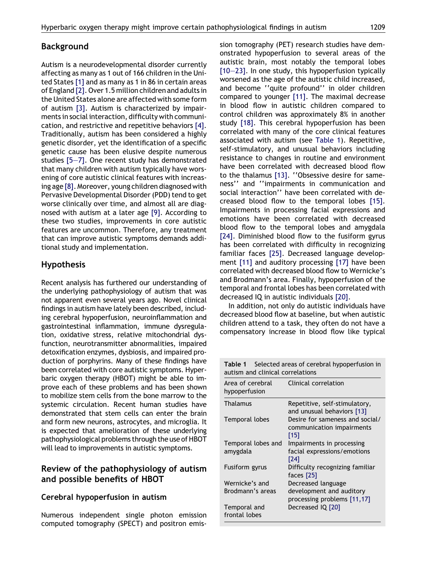## Background

Autism is a neurodevelopmental disorder currently affecting as many as 1 out of 166 children in the United States [\[1\]](#page-12-0) and as many as 1 in 86 in certain areas of England [\[2\]](#page-12-0). Over 1.5 million children and adults in the United States alone are affected with some form of autism [\[3\].](#page-12-0) Autism is characterized by impairments in social interaction, difficulty with communication, and restrictive and repetitive behaviors [\[4\]](#page-12-0). Traditionally, autism has been considered a highly genetic disorder, yet the identification of a specific genetic cause has been elusive despite numerous studies [\[5–7\]](#page-12-0). One recent study has demonstrated that many children with autism typically have worsening of core autistic clinical features with increasing age [\[8\]](#page-12-0). Moreover, young children diagnosed with Pervasive Developmental Disorder (PDD) tend to get worse clinically over time, and almost all are diagnosed with autism at a later age [\[9\].](#page-12-0) According to these two studies, improvements in core autistic features are uncommon. Therefore, any treatment that can improve autistic symptoms demands additional study and implementation.

## Hypothesis

Recent analysis has furthered our understanding of the underlying pathophysiology of autism that was not apparent even several years ago. Novel clinical findings in autism have lately been described, including cerebral hypoperfusion, neuroinflammation and gastrointestinal inflammation, immune dysregulation, oxidative stress, relative mitochondrial dysfunction, neurotransmitter abnormalities, impaired detoxification enzymes, dysbiosis, and impaired production of porphyrins. Many of these findings have been correlated with core autistic symptoms. Hyperbaric oxygen therapy (HBOT) might be able to improve each of these problems and has been shown to mobilize stem cells from the bone marrow to the systemic circulation. Recent human studies have demonstrated that stem cells can enter the brain and form new neurons, astrocytes, and microglia. It is expected that amelioration of these underlying pathophysiological problems through the use of HBOT will lead to improvements in autistic symptoms.

## Review of the pathophysiology of autism and possible benefits of HBOT

## Cerebral hypoperfusion in autism

Numerous independent single photon emission computed tomography (SPECT) and positron emission tomography (PET) research studies have demonstrated hypoperfusion to several areas of the autistic brain, most notably the temporal lobes [\[10–23\]](#page-12-0). In one study, this hypoperfusion typically worsened as the age of the autistic child increased, and become ''quite profound'' in older children compared to younger [\[11\].](#page-12-0) The maximal decrease in blood flow in autistic children compared to control children was approximately 8% in another study [\[18\].](#page-12-0) This cerebral hypoperfusion has been correlated with many of the core clinical features associated with autism (see Table 1). Repetitive, self-stimulatory, and unusual behaviors including resistance to changes in routine and environment have been correlated with decreased blood flow to the thalamus [\[13\]](#page-12-0). ''Obsessive desire for sameness'' and ''impairments in communication and social interaction'' have been correlated with decreased blood flow to the temporal lobes [\[15\]](#page-12-0). Impairments in processing facial expressions and emotions have been correlated with decreased blood flow to the temporal lobes and amygdala [\[24\]](#page-12-0). Diminished blood flow to the fusiform gyrus has been correlated with difficulty in recognizing familiar faces [\[25\]](#page-12-0). Decreased language development [\[11\]](#page-12-0) and auditory processing [\[17\]](#page-12-0) have been correlated with decreased blood flow to Wernicke's and Brodmann's area. Finally, hypoperfusion of the temporal and frontal lobes has been correlated with decreased IQ in autistic individuals [\[20\].](#page-12-0)

In addition, not only do autistic individuals have decreased blood flow at baseline, but when autistic children attend to a task, they often do not have a compensatory increase in blood flow like typical

Table 1 Selected areas of cerebral hypoperfusion in

| autism and clinical correlations                                     |  |  |
|----------------------------------------------------------------------|--|--|
| Clinical correlation                                                 |  |  |
| Repetitive, self-stimulatory,<br>and unusual behaviors [13]          |  |  |
| Desire for sameness and social/<br>communication impairments<br>[15] |  |  |
| Impairments in processing                                            |  |  |
| facial expressions/emotions<br>[24]                                  |  |  |
| Difficulty recognizing familiar<br>faces $[25]$                      |  |  |
| Decreased language                                                   |  |  |
| development and auditory<br>processing problems $[11, 17]$           |  |  |
| Decreased IQ [20]                                                    |  |  |
|                                                                      |  |  |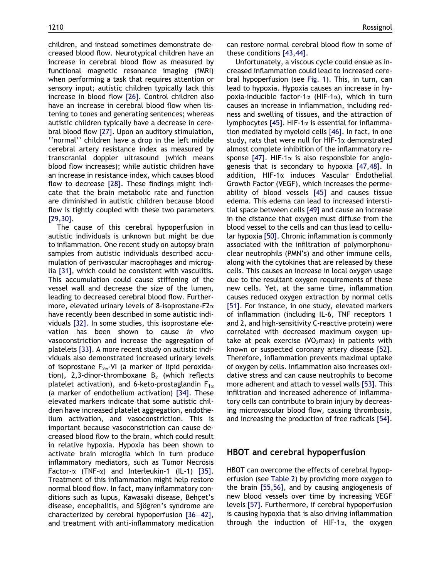children, and instead sometimes demonstrate decreased blood flow. Neurotypical children have an increase in cerebral blood flow as measured by functional magnetic resonance imaging (fMRI) when performing a task that requires attention or sensory input; autistic children typically lack this increase in blood flow [\[26\]](#page-12-0). Control children also have an increase in cerebral blood flow when listening to tones and generating sentences; whereas autistic children typically have a decrease in cerebral blood flow [\[27\].](#page-12-0) Upon an auditory stimulation, ''normal'' children have a drop in the left middle cerebral artery resistance index as measured by transcranial doppler ultrasound (which means blood flow increases); while autistic children have an increase in resistance index, which causes blood flow to decrease [\[28\].](#page-12-0) These findings might indicate that the brain metabolic rate and function are diminished in autistic children because blood flow is tightly coupled with these two parameters [\[29,30\]](#page-12-0).

The cause of this cerebral hypoperfusion in autistic individuals is unknown but might be due to inflammation. One recent study on autopsy brain samples from autistic individuals described accumulation of perivascular macrophages and microglia [\[31\]](#page-12-0), which could be consistent with vasculitis. This accumulation could cause stiffening of the vessel wall and decrease the size of the lumen, leading to decreased cerebral blood flow. Furthermore, elevated urinary levels of 8-isoprostane- $F2\alpha$ have recently been described in some autistic individuals [\[32\]](#page-12-0). In some studies, this isoprostane elevation has been shown to cause in vivo vasoconstriction and increase the aggregation of platelets [\[33\].](#page-12-0) A more recent study on autistic individuals also demonstrated increased urinary levels of isoprostane  $F_{2\alpha}$ -VI (a marker of lipid peroxidation), 2,3-dinor-thromboxane  $B_2$  (which reflects platelet activation), and 6-keto-prostaglandin  $F_{1\alpha}$ (a marker of endothelium activation) [\[34\]](#page-12-0). These elevated markers indicate that some autistic children have increased platelet aggregation, endothelium activation, and vasoconstriction. This is important because vasoconstriction can cause decreased blood flow to the brain, which could result in relative hypoxia. Hypoxia has been shown to activate brain microglia which in turn produce inflammatory mediators, such as Tumor Necrosis Factor- $\alpha$  (TNF- $\alpha$ ) and Interleukin-1 (IL-1) [\[35\].](#page-13-0) Treatment of this inflammation might help restore normal blood flow. In fact, many inflammatory conditions such as lupus, Kawasaki disease, Behcet's disease, encephalitis, and Sjögren's syndrome are characterized by cerebral hypoperfusion [\[36–42\],](#page-13-0) and treatment with anti-inflammatory medication can restore normal cerebral blood flow in some of these conditions [\[43,44\].](#page-13-0)

Unfortunately, a viscous cycle could ensue as increased inflammation could lead to increased cerebral hypoperfusion (see [Fig. 1\)](#page-3-0). This, in turn, can lead to hypoxia. Hypoxia causes an increase in hypoxia-inducible factor-1 $\alpha$  (HIF-1 $\alpha$ ), which in turn causes an increase in inflammation, including redness and swelling of tissues, and the attraction of lymphocytes [\[45\].](#page-13-0) HIF-1 $\alpha$  is essential for inflammation mediated by myeloid cells [\[46\]](#page-13-0). In fact, in one study, rats that were null for HIF-1 $\alpha$  demonstrated almost complete inhibition of the inflammatory re-sponse [\[47\].](#page-13-0) HIF-1 $\alpha$  is also responsible for angiogenesis that is secondary to hypoxia [\[47,48\]](#page-13-0). In addition, HIF-1a induces Vascular Endothelial Growth Factor (VEGF), which increases the permeability of blood vessels [\[45\]](#page-13-0) and causes tissue edema. This edema can lead to increased interstitial space between cells [\[49\]](#page-13-0) and cause an increase in the distance that oxygen must diffuse from the blood vessel to the cells and can thus lead to cellular hypoxia [\[50\]](#page-13-0). Chronic inflammation is commonly associated with the infiltration of polymorphonuclear neutrophils (PMN's) and other immune cells, along with the cytokines that are released by these cells. This causes an increase in local oxygen usage due to the resultant oxygen requirements of these new cells. Yet, at the same time, inflammation causes reduced oxygen extraction by normal cells [\[51\]](#page-13-0). For instance, in one study, elevated markers of inflammation (including IL-6, TNF receptors 1 and 2, and high-sensitivity C-reactive protein) were correlated with decreased maximum oxygen uptake at peak exercise (VO<sub>2</sub>max) in patients with known or suspected coronary artery disease [\[52\].](#page-13-0) Therefore, inflammation prevents maximal uptake of oxygen by cells. Inflammation also increases oxidative stress and can cause neutrophils to become more adherent and attach to vessel walls [\[53\]](#page-13-0). This infiltration and increased adherence of inflammatory cells can contribute to brain injury by decreasing microvascular blood flow, causing thrombosis, and increasing the production of free radicals [\[54\].](#page-13-0)

#### HBOT and cerebral hypoperfusion

HBOT can overcome the effects of cerebral hypoperfusion (see [Table 2](#page-3-0)) by providing more oxygen to the brain [\[55,56\]](#page-13-0), and by causing angiogenesis of new blood vessels over time by increasing VEGF levels [\[57\].](#page-13-0) Furthermore, if cerebral hypoperfusion is causing hypoxia that is also driving inflammation through the induction of HIF-1 $\alpha$ , the oxygen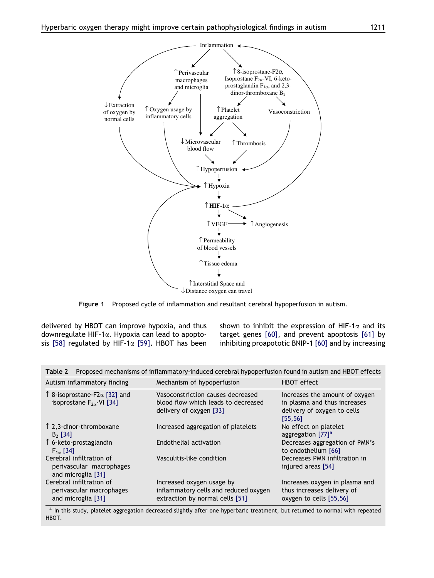<span id="page-3-0"></span>

Figure 1 Proposed cycle of inflammation and resultant cerebral hypoperfusion in autism.

delivered by HBOT can improve hypoxia, and thus downregulate HIF-1a. Hypoxia can lead to apopto-sis [\[58\]](#page-13-0) regulated by HIF-1 $\alpha$  [\[59\]](#page-13-0). HBOT has been shown to inhibit the expression of HIF-1 $\alpha$  and its target genes [\[60\]](#page-13-0), and prevent apoptosis [\[61\]](#page-13-0) by inhibiting proapototic BNIP-1 [\[60\]](#page-13-0) and by increasing

| Table 2 – Proposed inechanisms of initialmiatory-induced cerebrat hypoperiusion round in autism and ribo Ferrects |                                                                                                       |                                                                                                           |  |
|-------------------------------------------------------------------------------------------------------------------|-------------------------------------------------------------------------------------------------------|-----------------------------------------------------------------------------------------------------------|--|
| Autism inflammatory finding                                                                                       | Mechanism of hypoperfusion                                                                            | HBOT effect                                                                                               |  |
| $\uparrow$ 8-isoprostane-F2 $\alpha$ [32] and<br>isoprostane $F_{2\alpha}$ VI [34]                                | Vasoconstriction causes decreased<br>blood flow which leads to decreased<br>delivery of oxygen [33]   | Increases the amount of oxygen<br>in plasma and thus increases<br>delivery of oxygen to cells<br>[55, 56] |  |
| $\uparrow$ 2,3-dinor-thromboxane<br>$B2$ [34]                                                                     | Increased aggregation of platelets                                                                    | No effect on platelet<br>aggregation $[77]$ <sup>a</sup>                                                  |  |
| $\uparrow$ 6-keto-prostaglandin<br>$F_{1}$ [34]                                                                   | Endothelial activation                                                                                | Decreases aggregation of PMN's<br>to endothelium [66]                                                     |  |
| Cerebral infiltration of<br>perivascular macrophages<br>and microglia [31]                                        | Vasculitis-like condition                                                                             | Decreases PMN infiltration in<br>injured areas [54]                                                       |  |
| Cerebral infiltration of<br>perivascular macrophages<br>and microglia [31]                                        | Increased oxygen usage by<br>inflammatory cells and reduced oxygen<br>extraction by normal cells [51] | Increases oxygen in plasma and<br>thus increases delivery of<br>oxygen to cells [55,56]                   |  |

Table 2 Proposed mechanisms of inflammatory-induced cerebral hypoperfusion found in autism and HBOT effects

a In this study, platelet aggregation decreased slightly after one hyperbaric treatment, but returned to normal with repeated HBOT.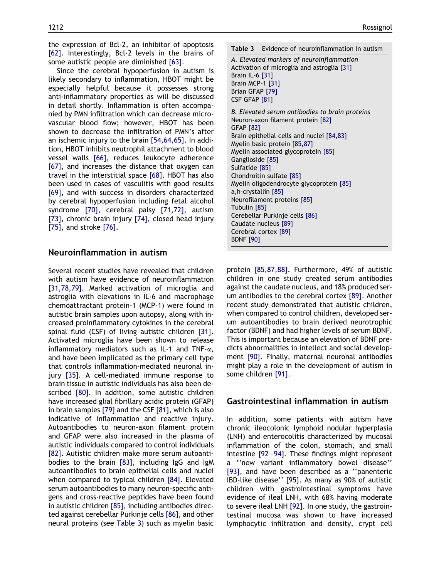the expression of Bcl-2, an inhibitor of apoptosis [\[62\]](#page-13-0). Interestingly, Bcl-2 levels in the brains of some autistic people are diminished [\[63\].](#page-13-0)

Since the cerebral hypoperfusion in autism is likely secondary to inflammation, HBOT might be especially helpful because it possesses strong anti-inflammatory properties as will be discussed in detail shortly. Inflammation is often accompanied by PMN infiltration which can decrease microvascular blood flow; however, HBOT has been shown to decrease the infiltration of PMN's after an ischemic injury to the brain [\[54,64,65\].](#page-13-0) In addition, HBOT inhibits neutrophil attachment to blood vessel walls [\[66\]](#page-13-0), reduces leukocyte adherence [\[67\]](#page-13-0), and increases the distance that oxygen can travel in the interstitial space [\[68\].](#page-13-0) HBOT has also been used in cases of vasculitis with good results [\[69\]](#page-13-0), and with success in disorders characterized by cerebral hypoperfusion including fetal alcohol syndrome [\[70\],](#page-13-0) cerebral palsy [\[71,72\]](#page-13-0), autism [\[73\]](#page-14-0), chronic brain injury [\[74\]](#page-14-0), closed head injury [\[75\]](#page-14-0), and stroke [\[76\]](#page-14-0).

### Neuroinflammation in autism

Several recent studies have revealed that children with autism have evidence of neuroinflammation [\[31,78,79\]](#page-12-0). Marked activation of microglia and astroglia with elevations in IL-6 and macrophage chemoattractant protein-1 (MCP-1) were found in autistic brain samples upon autopsy, along with increased proinflammatory cytokines in the cerebral spinal fluid (CSF) of living autistic children [\[31\].](#page-12-0) Activated microglia have been shown to release inflammatory mediators such as IL-1 and TNF- $\alpha$ , and have been implicated as the primary cell type that controls inflammation-mediated neuronal injury [\[35\].](#page-13-0) A cell-mediated immune response to brain tissue in autistic individuals has also been described [\[80\].](#page-14-0) In addition, some autistic children have increased glial fibrillary acidic protein (GFAP) in brain samples [\[79\]](#page-14-0) and the CSF [\[81\]](#page-14-0), which is also indicative of inflammation and reactive injury. Autoantibodies to neuron-axon filament protein and GFAP were also increased in the plasma of autistic individuals compared to control individuals [\[82\]](#page-14-0). Autistic children make more serum autoantibodies to the brain [\[83\],](#page-14-0) including IgG and IgM autoantibodies to brain epithelial cells and nuclei when compared to typical children [\[84\]](#page-14-0). Elevated serum autoantibodies to many neuron-specific antigens and cross-reactive peptides have been found in autistic children [\[85\],](#page-14-0) including antibodies directed against cerebellar Purkinje cells [\[86\]](#page-14-0), and other neural proteins (see Table 3) such as myelin basic

Table 3 Evidence of neuroinflammation in autism

A. Elevated markers of neuroinflammation Activation of microglia and astroglia [\[31\]](#page-12-0) Brain IL-6 [\[31\]](#page-12-0) Brain MCP-1 [\[31\]](#page-12-0) Brian GFAP [\[79\]](#page-14-0) CSF GFAP [\[81\]](#page-14-0) B. Elevated serum antibodies to brain proteins Neuron-axon filament protein [\[82\]](#page-14-0) GFAP [\[82\]](#page-14-0) Brain epithelial cells and nuclei [\[84,83\]](#page-14-0) Myelin basic protein [\[85,87\]](#page-14-0) Myelin associated glycoprotein [\[85\]](#page-14-0) Ganglioside [\[85\]](#page-14-0) Sulfatide [\[85\]](#page-14-0) Chondroitin sulfate [\[85\]](#page-14-0) Myelin oligodendrocyte glycoprotein [\[85\]](#page-14-0) a,h-crystallin [\[85\]](#page-14-0) Neurofilament proteins [\[85\]](#page-14-0) Tubulin [\[85\]](#page-14-0) Cerebellar Purkinje cells [\[86\]](#page-14-0) Caudate nucleus [\[89\]](#page-14-0) Cerebral cortex [\[89\]](#page-14-0) BDNF [\[90\]](#page-14-0)

protein [\[85,87,88\].](#page-14-0) Furthermore, 49% of autistic children in one study created serum antibodies against the caudate nucleus, and 18% produced serum antibodies to the cerebral cortex [\[89\].](#page-14-0) Another recent study demonstrated that autistic children, when compared to control children, developed serum autoantibodies to brain derived neurotrophic factor (BDNF) and had higher levels of serum BDNF. This is important because an elevation of BDNF predicts abnormalities in intellect and social development [\[90\]](#page-14-0). Finally, maternal neuronal antibodies might play a role in the development of autism in some children [\[91\]](#page-14-0).

#### Gastrointestinal inflammation in autism

In addition, some patients with autism have chronic ileocolonic lymphoid nodular hyperplasia (LNH) and enterocolitis characterized by mucosal inflammation of the colon, stomach, and small intestine [\[92–94\]](#page-14-0). These findings might represent a ''new variant inflammatory bowel disease'' [\[93\]](#page-14-0), and have been described as a ''panenteric IBD-like disease'' [\[95\].](#page-14-0) As many as 90% of autistic children with gastrointestinal symptoms have evidence of ileal LNH, with 68% having moderate to severe ileal LNH [\[92\].](#page-14-0) In one study, the gastrointestinal mucosa was shown to have increased lymphocytic infiltration and density, crypt cell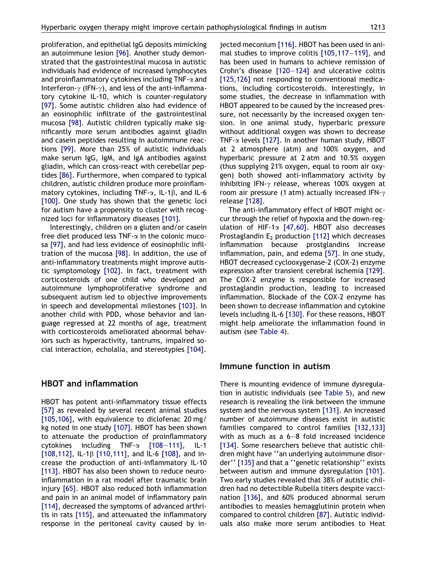proliferation, and epithelial IgG deposits mimicking an autoimmune lesion [\[96\].](#page-14-0) Another study demonstrated that the gastrointestinal mucosa in autistic individuals had evidence of increased lymphocytes and proinflammatory cytokines including  $TNF-\alpha$  and Interferon- $\gamma$  (IFN- $\gamma$ ), and less of the anti-inflammatory cytokine IL-10, which is counter-regulatory [\[97\]](#page-14-0). Some autistic children also had evidence of an eosinophilic infiltrate of the gastrointestinal mucosa [\[98\].](#page-14-0) Autistic children typically make significantly more serum antibodies against gliadin and casein peptides resulting in autoimmune reactions [\[99\]](#page-14-0). More than 25% of autistic individuals make serum IgG, IgM, and IgA antibodies against gliadin, which can cross-react with cerebellar peptides [\[86\].](#page-14-0) Furthermore, when compared to typical children, autistic children produce more proinflammatory cytokines, including TNF- $\alpha$ , IL-1 $\beta$ , and IL-6 [\[100\].](#page-14-0) One study has shown that the genetic loci for autism have a propensity to cluster with recognized loci for inflammatory diseases [\[101\]](#page-14-0).

Interestingly, children on a gluten and/or casein free diet produced less  $TNF-\alpha$  in the colonic mucosa [\[97\],](#page-14-0) and had less evidence of eosinophilic infiltration of the mucosa [\[98\].](#page-14-0) In addition, the use of anti-inflammatory treatments might improve autistic symptomology [\[102\]](#page-14-0). In fact, treatment with corticosteroids of one child who developed an autoimmune lymphoproliferative syndrome and subsequent autism led to objective improvements in speech and developmental milestones [\[103\]](#page-14-0). In another child with PDD, whose behavior and language regressed at 22 months of age, treatment with corticosteroids ameliorated abnormal behaviors such as hyperactivity, tantrums, impaired social interaction, echolalia, and stereotypies [\[104\].](#page-14-0)

#### HBOT and inflammation

HBOT has potent anti-inflammatory tissue effects [\[57\]](#page-13-0) as revealed by several recent animal studies [\[105,106\],](#page-15-0) with equivalence to diclofenac 20 mg/ kg noted in one study [\[107\].](#page-15-0) HBOT has been shown to attenuate the production of proinflammatory cytokines including TNF- $\alpha$  [\[108–111\]](#page-15-0), IL-1 [\[108,112\],](#page-15-0) IL-1 $\beta$  [\[110,111\]](#page-15-0), and IL-6 [\[108\],](#page-15-0) and increase the production of anti-inflammatory IL-10 [\[113\].](#page-15-0) HBOT has also been shown to reduce neuroinflammation in a rat model after traumatic brain injury [\[65\]](#page-13-0). HBOT also reduced both inflammation and pain in an animal model of inflammatory pain [\[114\],](#page-15-0) decreased the symptoms of advanced arthritis in rats [\[115\]](#page-15-0), and attenuated the inflammatory response in the peritoneal cavity caused by injected meconium [\[116\]](#page-15-0). HBOT has been used in animal studies to improve colitis [\[105,117–119\]](#page-15-0), and has been used in humans to achieve remission of Crohn's disease [\[120–124\]](#page-15-0) and ulcerative colitis [\[125,126\]](#page-15-0) not responding to conventional medications, including corticosteroids. Interestingly, in some studies, the decrease in inflammation with HBOT appeared to be caused by the increased pressure, not necessarily by the increased oxygen tension. In one animal study, hyperbaric pressure without additional oxygen was shown to decrease TNF- $\alpha$  levels [\[127\].](#page-15-0) In another human study, HBOT at 2 atmosphere (atm) and 100% oxygen, and hyperbaric pressure at 2 atm and 10.5% oxygen (thus supplying 21% oxygen, equal to room air oxygen) both showed anti-inflammatory activity by inhibiting IFN- $\gamma$  release, whereas 100% oxygen at room air pressure (1 atm) actually increased IFN- $\gamma$ release [\[128\]](#page-15-0).

The anti-inflammatory effect of HBOT might occur through the relief of hypoxia and the down-regulation of HIF-1 $\alpha$  [\[47,60\].](#page-13-0) HBOT also decreases Prostaglandin  $E_2$  production [\[112\]](#page-15-0) which decreases inflammation because prostglandins increase inflammation, pain, and edema [\[57\].](#page-13-0) In one study, HBOT decreased cyclooxygenase-2 (COX-2) enzyme expression after transient cerebral ischemia [\[129\]](#page-15-0). The COX-2 enzyme is responsible for increased prostaglandin production, leading to increased inflammation. Blockade of the COX-2 enzyme has been shown to decrease inflammation and cytokine levels including IL-6 [\[130\].](#page-15-0) For these reasons, HBOT might help ameliorate the inflammation found in autism (see [Table 4](#page-6-0)).

#### Immune function in autism

There is mounting evidence of immune dysregulation in autistic individuals (see [Table 5\)](#page-6-0), and new research is revealing the link between the immune system and the nervous system [\[131\].](#page-15-0) An increased number of autoimmune diseases exist in autistic families compared to control families [\[132,133\]](#page-15-0) with as much as a 6–8 fold increased incidence [\[134\].](#page-15-0) Some researchers believe that autistic children might have ''an underlying autoimmune disorder'' [\[135\]](#page-15-0) and that a ''genetic relationship'' exists between autism and immune dysregulation [\[101\]](#page-14-0). Two early studies revealed that 38% of autistic children had no detectible Rubella titers despite vaccination [\[136\],](#page-15-0) and 60% produced abnormal serum antibodies to measles hemagglutinin protein when compared to control children [\[87\]](#page-14-0). Autistic individuals also make more serum antibodies to Heat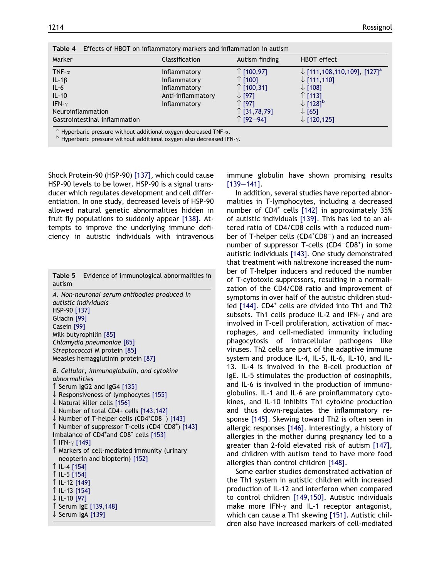<span id="page-6-0"></span>

| Effects of HBOT on inflammatory markers and inflammation in autism<br>Table 4 |                   |                   |                                                    |
|-------------------------------------------------------------------------------|-------------------|-------------------|----------------------------------------------------|
| Marker                                                                        | Classification    | Autism finding    | HBOT effect                                        |
| TNF- $\alpha$                                                                 | Inflammatory      | ↑ [100,97]        | $\downarrow$ [111,108,110,109], [127] <sup>a</sup> |
| IL-1 $\beta$                                                                  | Inflammatory      | $\uparrow$ [100]  | $\downarrow$ [111,110]                             |
| $IL-6$                                                                        | Inflammatory      | ↑ [100,31]        | $\downarrow$ [108]                                 |
| $IL-10$                                                                       | Anti-inflammatory | $\downarrow$ [97] | $\uparrow$ [113]                                   |
| IFN- $\gamma$                                                                 | Inflammatory      | ↑ [97]            | $\downarrow$ [128] <sup>b</sup>                    |
| <b>Neuroinflammation</b>                                                      |                   | ↑ $[31,78,79]$    | $\downarrow$ [65]                                  |
| Gastrointestinal inflammation                                                 |                   | ↑ [92-94]         | $\downarrow$ [120,125]                             |
| a Uynarharia nroceura without additional ownean docrossed TNE                 |                   |                   |                                                    |

<sup>a</sup> Hyperbaric pressure without additional oxygen decreased TNF- $\alpha$ .<br><sup>b</sup> Hyperbaric pressure without additional oxygen also decreased IFN- $\gamma$ .

Shock Protein-90 (HSP-90) [\[137\]](#page-15-0), which could cause HSP-90 levels to be lower. HSP-90 is a signal transducer which regulates development and cell differentiation. In one study, decreased levels of HSP-90 allowed natural genetic abnormalities hidden in fruit fly populations to suddenly appear [\[138\].](#page-15-0) Attempts to improve the underlying immune deficiency in autistic individuals with intravenous

|        | <b>Table 5</b> Evidence of immunological abnormalities in |
|--------|-----------------------------------------------------------|
| autism |                                                           |

A. Non-neuronal serum antibodies produced in autistic individuals HSP-90 [\[137\]](#page-15-0) Gliadin [\[99\]](#page-14-0) Casein [\[99\]](#page-14-0) Milk butyrophilin [\[85\]](#page-14-0) Chlamydia pneumoniae [\[85\]](#page-14-0) Streptococcal M protein [\[85\]](#page-14-0) Measles hemagglutinin protein [\[87\]](#page-14-0)

B. Cellular, immunoglobulin, and cytokine abnormalities  $\hat{\Gamma}$  Serum IgG2 and IgG4 [\[135\]](#page-15-0)  $\downarrow$  Responsiveness of lymphocytes [\[155\]](#page-16-0)  $\downarrow$  Natural killer cells [\[156\]](#page-16-0)  $\downarrow$  Number of total CD4+ cells [\[143,142\]](#page-15-0)  $\downarrow$  Number of T-helper cells (CD4<sup>+</sup>CD8<sup>-</sup>) [\[143\]](#page-15-0)  $\uparrow$  Number of suppressor T-cells (CD4<sup>-</sup>CD8<sup>+</sup>) [\[143\]](#page-15-0) Imbalance of CD4<sup>+</sup>and CD8<sup>+</sup> cells [\[153\]](#page-16-0)  $\uparrow$  IFN- $\gamma$  [\[149\]](#page-16-0)  $\uparrow$  Markers of cell-mediated immunity (urinary neopterin and biopterin) [\[152\]](#page-16-0)  $\uparrow$  IL-4 [\[154\]](#page-16-0)  $\uparrow$  IL-5 [\[154\]](#page-16-0) ↑ IL-12 [\[149\]](#page-16-0) ↑ IL-13 [\[154\]](#page-16-0)  $\downarrow$  IL-10 [\[97\]](#page-14-0)  $\hat{\ }$  Serum IgE [\[139,148\]](#page-15-0)  $\downarrow$  Serum IgA [\[139\]](#page-15-0)

immune globulin have shown promising results [\[139–141\]](#page-15-0).

In addition, several studies have reported abnormalities in T-lymphocytes, including a decreased number of  $CD4^+$  cells  $[142]$  in approximately 35% of autistic individuals [\[139\].](#page-15-0) This has led to an altered ratio of CD4/CD8 cells with a reduced number of T-helper cells (CD4<sup>+</sup>CD8<sup>-</sup>) and an increased number of suppressor T-cells (CD4<sup>-</sup>CD8<sup>+</sup>) in some autistic individuals [\[143\].](#page-15-0) One study demonstrated that treatment with naltrexone increased the number of T-helper inducers and reduced the number of T-cytotoxic suppressors, resulting in a normalization of the CD4/CD8 ratio and improvement of symptoms in over half of the autistic children stud-ied [\[144\].](#page-16-0) CD4<sup>+</sup> cells are divided into Th1 and Th2 subsets. Th1 cells produce IL-2 and IFN- $\gamma$  and are involved in T-cell proliferation, activation of macrophages, and cell-mediated immunity including phagocytosis of intracellular pathogens like viruses. Th2 cells are part of the adaptive immune system and produce IL-4, IL-5, IL-6, IL-10, and IL-13. IL-4 is involved in the B-cell production of IgE. IL-5 stimulates the production of eosinophils, and IL-6 is involved in the production of immunoglobulins. IL-1 and IL-6 are proinflammatory cytokines, and IL-10 inhibits Th1 cytokine production and thus down-regulates the inflammatory response [\[145\].](#page-16-0) Skewing toward Th2 is often seen in allergic responses [\[146\]](#page-16-0). Interestingly, a history of allergies in the mother during pregnancy led to a greater than 2-fold elevated risk of autism [\[147\],](#page-16-0) and children with autism tend to have more food allergies than control children [\[148\]](#page-16-0).

Some earlier studies demonstrated activation of the Th1 system in autistic children with increased production of IL-12 and interferon when compared to control children [\[149,150\].](#page-16-0) Autistic individuals make more IFN- $\gamma$  and IL-1 receptor antagonist, which can cause a Th1 skewing [\[151\]](#page-16-0). Autistic children also have increased markers of cell-mediated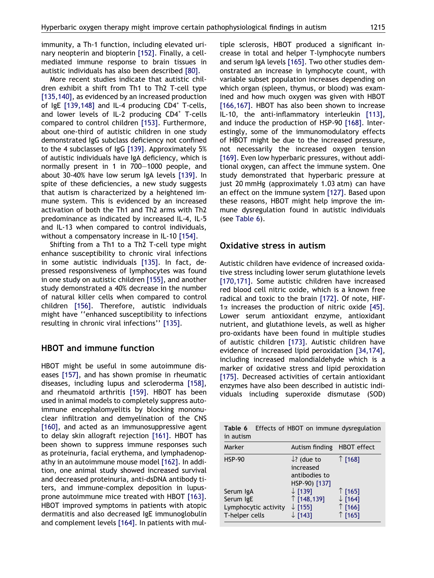immunity, a Th-1 function, including elevated urinary neopterin and biopterin [\[152\]](#page-16-0). Finally, a cellmediated immune response to brain tissues in autistic individuals has also been described [\[80\].](#page-14-0)

More recent studies indicate that autistic children exhibit a shift from Th1 to Th2 T-cell type [\[135,140\],](#page-15-0) as evidenced by an increased production of  $IgE$  [\[139,148\]](#page-15-0) and IL-4 producing  $CD4^+$  T-cells, and lower levels of IL-2 producing CD4<sup>+</sup> T-cells compared to control children [\[153\].](#page-16-0) Furthermore, about one-third of autistic children in one study demonstrated IgG subclass deficiency not confined to the 4 subclasses of IgG [\[139\].](#page-15-0) Approximately 5% of autistic individuals have IgA deficiency, which is normally present in 1 in 700–1000 people, and about 30-40% have low serum IgA levels [\[139\].](#page-15-0) In spite of these deficiencies, a new study suggests that autism is characterized by a heightened immune system. This is evidenced by an increased activation of both the Th1 and Th2 arms with Th2 predominance as indicated by increased IL-4, IL-5 and IL-13 when compared to control individuals, without a compensatory increase in IL-10 [\[154\].](#page-16-0)

Shifting from a Th1 to a Th2 T-cell type might enhance susceptibility to chronic viral infections in some autistic individuals [\[135\].](#page-15-0) In fact, depressed responsiveness of lymphocytes was found in one study on autistic children [\[155\]](#page-16-0), and another study demonstrated a 40% decrease in the number of natural killer cells when compared to control children [\[156\].](#page-16-0) Therefore, autistic individuals might have ''enhanced susceptibility to infections resulting in chronic viral infections'' [\[135\].](#page-15-0)

## HBOT and immune function

HBOT might be useful in some autoimmune diseases [\[157\],](#page-16-0) and has shown promise in rheumatic diseases, including lupus and scleroderma [\[158\]](#page-16-0), and rheumatoid arthritis [\[159\].](#page-16-0) HBOT has been used in animal models to completely suppress autoimmune encephalomyelitis by blocking mononuclear infiltration and demyelination of the CNS [\[160\],](#page-16-0) and acted as an immunosuppressive agent to delay skin allograft rejection [\[161\].](#page-16-0) HBOT has been shown to suppress immune responses such as proteinuria, facial erythema, and lymphadenopathy in an autoimmune mouse model [\[162\]](#page-16-0). In addition, one animal study showed increased survival and decreased proteinuria, anti-dsDNA antibody titers, and immune-complex deposition in lupusprone autoimmune mice treated with HBOT [\[163\]](#page-16-0). HBOT improved symptoms in patients with atopic dermatitis and also decreased IgE immunoglobulin and complement levels [\[164\]](#page-16-0). In patients with multiple sclerosis, HBOT produced a significant increase in total and helper T-lymphocyte numbers and serum IgA levels [\[165\].](#page-16-0) Two other studies demonstrated an increase in lymphocyte count, with variable subset population increases depending on which organ (spleen, thymus, or blood) was examined and how much oxygen was given with HBOT [\[166,167\].](#page-16-0) HBOT has also been shown to increase IL-10, the anti-inflammatory interleukin [\[113\]](#page-15-0), and induce the production of HSP-90 [\[168\]](#page-16-0). Interestingly, some of the immunomodulatory effects of HBOT might be due to the increased pressure, not necessarily the increased oxygen tension [\[169\].](#page-16-0) Even low hyperbaric pressures, without additional oxygen, can affect the immune system. One study demonstrated that hyperbaric pressure at just 20 mmHg (approximately 1.03 atm) can have an effect on the immune system [\[127\].](#page-15-0) Based upon these reasons, HBOT might help improve the immune dysregulation found in autistic individuals (see Table 6).

#### Oxidative stress in autism

Autistic children have evidence of increased oxidative stress including lower serum glutathione levels [\[170,171\].](#page-16-0) Some autistic children have increased red blood cell nitric oxide, which is a known free radical and toxic to the brain [\[172\].](#page-16-0) Of note, HIF- $1\alpha$  increases the production of nitric oxide [\[45\]](#page-13-0). Lower serum antioxidant enzyme, antioxidant nutrient, and glutathione levels, as well as higher pro-oxidants have been found in multiple studies of autistic children [\[173\].](#page-16-0) Autistic children have evidence of increased lipid peroxidation [\[34,174\]](#page-12-0), including increased malondialdehyde which is a marker of oxidative stress and lipid peroxidation [\[175\].](#page-16-0) Decreased activities of certain antioxidant enzymes have also been described in autistic individuals including superoxide dismutase (SOD)

Table 6 Effects of HBOT on immune dysregulation in autism

| Marker               | Autism finding HBOT effect                                            |                    |
|----------------------|-----------------------------------------------------------------------|--------------------|
| <b>HSP-90</b>        | $\downarrow$ ? (due to<br>increased<br>antibodies to<br>HSP-90) [137] | $\uparrow$ [168]   |
| Serum IgA            | $\downarrow$ [139]                                                    | $\uparrow$ [165]   |
| Serum IgE            | ↑ [148,139]                                                           | $\downarrow$ [164] |
| Lymphocytic activity | $\downarrow$ [155]                                                    | ↑ [166]            |
| T-helper cells       | $\downarrow$ [143]                                                    | $\uparrow$ [165]   |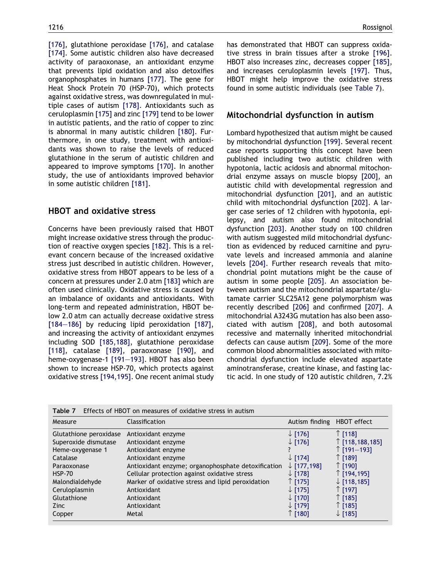[\[176\]](#page-16-0), glutathione peroxidase [\[176\],](#page-16-0) and catalase [\[174\]](#page-16-0). Some autistic children also have decreased activity of paraoxonase, an antioxidant enzyme that prevents lipid oxidation and also detoxifies organophosphates in humans [\[177\]](#page-16-0). The gene for Heat Shock Protein 70 (HSP-70), which protects against oxidative stress, was downregulated in multiple cases of autism [\[178\]](#page-16-0). Antioxidants such as ceruloplasmin [\[175\]](#page-16-0) and zinc [\[179\]](#page-16-0) tend to be lower in autistic patients, and the ratio of copper to zinc is abnormal in many autistic children [\[180\]](#page-16-0). Furthermore, in one study, treatment with antioxidants was shown to raise the levels of reduced glutathione in the serum of autistic children and appeared to improve symptoms [\[170\]](#page-16-0). In another study, the use of antioxidants improved behavior in some autistic children [\[181\]](#page-16-0).

## HBOT and oxidative stress

Concerns have been previously raised that HBOT might increase oxidative stress through the production of reactive oxygen species [\[182\]](#page-17-0). This is a relevant concern because of the increased oxidative stress just described in autistic children. However, oxidative stress from HBOT appears to be less of a concern at pressures under 2.0 atm [\[183\]](#page-17-0) which are often used clinically. Oxidative stress is caused by an imbalance of oxidants and antioxidants. With long-term and repeated administration, HBOT below 2.0 atm can actually decrease oxidative stress [\[184–186\]](#page-17-0) by reducing lipid peroxidation [\[187\],](#page-17-0) and increasing the activity of antioxidant enzymes including SOD [\[185,188\],](#page-17-0) glutathione peroxidase [\[118\]](#page-15-0), catalase [\[189\]](#page-17-0), paraoxonase [\[190\],](#page-17-0) and heme-oxygenase-1 [\[191–193\]](#page-17-0). HBOT has also been shown to increase HSP-70, which protects against oxidative stress [\[194,195\].](#page-17-0) One recent animal study has demonstrated that HBOT can suppress oxidative stress in brain tissues after a stroke [\[196\].](#page-17-0) HBOT also increases zinc, decreases copper [\[185\],](#page-17-0) and increases ceruloplasmin levels [\[197\]](#page-17-0). Thus, HBOT might help improve the oxidative stress found in some autistic individuals (see Table 7).

#### Mitochondrial dysfunction in autism

Lombard hypothesized that autism might be caused by mitochondrial dysfunction [\[199\]](#page-17-0). Several recent case reports supporting this concept have been published including two autistic children with hypotonia, lactic acidosis and abnormal mitochondrial enzyme assays on muscle biopsy [\[200\],](#page-17-0) an autistic child with developmental regression and mitochondrial dysfunction [\[201\],](#page-17-0) and an autistic child with mitochondrial dysfunction [\[202\]](#page-17-0). A larger case series of 12 children with hypotonia, epilepsy, and autism also found mitochondrial dysfunction [\[203\]](#page-17-0). Another study on 100 children with autism suggested mild mitochondrial dysfunction as evidenced by reduced carnitine and pyruvate levels and increased ammonia and alanine levels [\[204\].](#page-17-0) Further research reveals that mitochondrial point mutations might be the cause of autism in some people [\[205\]](#page-17-0). An association between autism and the mitochondrial aspartate/glutamate carrier SLC25A12 gene polymorphism was recently described [\[206\]](#page-17-0) and confirmed [\[207\].](#page-17-0) A mitochondrial A3243G mutation has also been associated with autism [\[208\]](#page-17-0), and both autosomal recessive and maternally inherited mitochondrial defects can cause autism [\[209\].](#page-17-0) Some of the more common blood abnormalities associated with mitochondrial dysfunction include elevated aspartate aminotransferase, creatine kinase, and fasting lactic acid. In one study of 120 autistic children, 7.2%

| Table 7                                                                                                                                                           | Effects of HBOT on measures of oxidative stress in autism                                                                                                                                                                                                                     |                                                                                                                                                                       |                                                                                                                                                                    |
|-------------------------------------------------------------------------------------------------------------------------------------------------------------------|-------------------------------------------------------------------------------------------------------------------------------------------------------------------------------------------------------------------------------------------------------------------------------|-----------------------------------------------------------------------------------------------------------------------------------------------------------------------|--------------------------------------------------------------------------------------------------------------------------------------------------------------------|
| Measure                                                                                                                                                           | Classification                                                                                                                                                                                                                                                                | Autism finding                                                                                                                                                        | HBOT effect                                                                                                                                                        |
| Glutathione peroxidase<br>Superoxide dismutase<br>Heme-oxygenase 1<br>Catalase<br>Paraoxonase<br><b>HSP-70</b><br>Malondialdehyde<br>Ceruloplasmin<br>Glutathione | Antioxidant enzyme<br>Antioxidant enzyme<br>Antioxidant enzyme<br>Antioxidant enzyme<br>Antioxidant enzyme; organophosphate detoxification<br>Cellular protection against oxidative stress<br>Marker of oxidative stress and lipid peroxidation<br>Antioxidant<br>Antioxidant | $\downarrow$ [176]<br>$\downarrow$ [176]<br>$\downarrow$ [174]<br>$\downarrow$ [177,198]<br>$\downarrow$ [178]<br>↑ [175]<br>$\downarrow$ [175]<br>$\downarrow$ [170] | $\uparrow$ [118]<br>$\uparrow$ [118,188,185]<br>↑ [191–193]<br>↑ [189]<br>↑ [190]<br>$\uparrow$ [194,195]<br>$\downarrow$ [118,185]<br>$\uparrow$ [197]<br>↑ [185] |
| Zinc<br>Copper                                                                                                                                                    | Antioxidant<br>Metal                                                                                                                                                                                                                                                          | $\downarrow$ [179]<br>↑ [180]                                                                                                                                         | ↑ [185]<br>$\downarrow$ [185]                                                                                                                                      |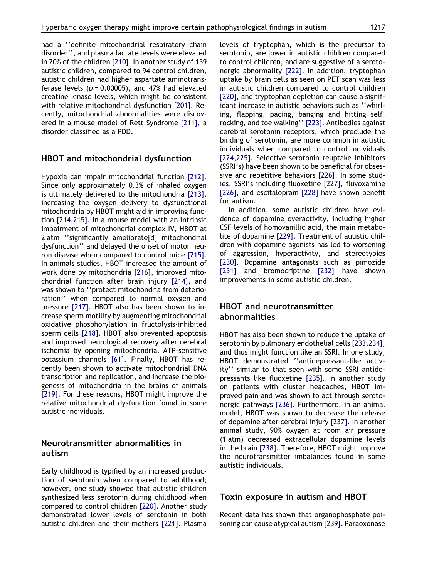had a ''definite mitochondrial respiratory chain disorder'', and plasma lactate levels were elevated in 20% of the children [\[210\].](#page-17-0) In another study of 159 autistic children, compared to 94 control children, autistic children had higher aspartate aminotransferase levels ( $p = 0.00005$ ), and 47% had elevated creatine kinase levels, which might be consistent with relative mitochondrial dysfunction [\[201\].](#page-17-0) Recently, mitochondrial abnormalities were discovered in a mouse model of Rett Syndrome [\[211\]](#page-17-0), a disorder classified as a PDD.

#### HBOT and mitochondrial dysfunction

Hypoxia can impair mitochondrial function [\[212\]](#page-17-0). Since only approximately 0.3% of inhaled oxygen is ultimately delivered to the mitochondria [\[213\]](#page-17-0), increasing the oxygen delivery to dysfunctional mitochondria by HBOT might aid in improving function [\[214,215\].](#page-17-0) In a mouse model with an intrinsic impairment of mitochondrial complex IV, HBOT at 2 atm ''significantly ameliorate[d] mitochondrial dysfunction'' and delayed the onset of motor neuron disease when compared to control mice [\[215\]](#page-17-0). In animals studies, HBOT increased the amount of work done by mitochondria [\[216\]](#page-17-0), improved mitochondrial function after brain injury [\[214\]](#page-17-0), and was shown to ''protect mitochondria from deterioration'' when compared to normal oxygen and pressure [\[217\].](#page-17-0) HBOT also has been shown to increase sperm motility by augmenting mitochondrial oxidative phosphorylation in fructolysis-inhibited sperm cells [\[218\].](#page-18-0) HBOT also prevented apoptosis and improved neurological recovery after cerebral ischemia by opening mitochondrial ATP-sensitive potassium channels [\[61\]](#page-13-0). Finally, HBOT has recently been shown to activate mitochondrial DNA transcription and replication, and increase the biogenesis of mitochondria in the brains of animals [\[219\].](#page-18-0) For these reasons, HBOT might improve the relative mitochondrial dysfunction found in some autistic individuals.

## Neurotransmitter abnormalities in autism

Early childhood is typified by an increased production of serotonin when compared to adulthood; however, one study showed that autistic children synthesized less serotonin during childhood when compared to control children [\[220\]](#page-18-0). Another study demonstrated lower levels of serotonin in both autistic children and their mothers [\[221\].](#page-18-0) Plasma levels of tryptophan, which is the precursor to serotonin, are lower in autistic children compared to control children, and are suggestive of a serotonergic abnormality [\[222\]](#page-18-0). In addition, tryptophan uptake by brain cells as seen on PET scan was less in autistic children compared to control children [\[220\],](#page-18-0) and tryptophan depletion can cause a significant increase in autistic behaviors such as ''whirling, flapping, pacing, banging and hitting self, rocking, and toe walking'' [\[223\]](#page-18-0). Antibodies against cerebral serotonin receptors, which preclude the binding of serotonin, are more common in autistic individuals when compared to control individuals [\[224,225\].](#page-18-0) Selective serotonin reuptake inhibitors (SSRI's) have been shown to be beneficial for obsessive and repetitive behaviors [\[226\].](#page-18-0) In some studies, SSRI's including fluoxetine [\[227\]](#page-18-0), fluvoxamine [\[226\],](#page-18-0) and escitalopram [\[228\]](#page-18-0) have shown benefit for autism.

In addition, some autistic children have evidence of dopamine overactivity, including higher CSF levels of homovanillic acid, the main metabolite of dopamine [\[229\]](#page-18-0). Treatment of autistic children with dopamine agonists has led to worsening of aggression, hyperactivity, and stereotypies [\[230\].](#page-18-0) Dopamine antagonists such as pimozide [\[231\]](#page-18-0) and bromocriptine [\[232\]](#page-18-0) have shown improvements in some autistic children.

## HBOT and neurotransmitter abnormalities

HBOT has also been shown to reduce the uptake of serotonin by pulmonary endothelial cells [\[233,234\]](#page-18-0), and thus might function like an SSRI. In one study, HBOT demonstrated ''antidepressant-like activity'' similar to that seen with some SSRI antidepressants like fluoxetine [\[235\].](#page-18-0) In another study on patients with cluster headaches, HBOT improved pain and was shown to act through serotonergic pathways [\[236\]](#page-18-0). Furthermore, in an animal model, HBOT was shown to decrease the release of dopamine after cerebral injury [\[237\].](#page-18-0) In another animal study, 90% oxygen at room air pressure (1 atm) decreased extracellular dopamine levels in the brain [\[238\]](#page-18-0). Therefore, HBOT might improve the neurotransmitter imbalances found in some autistic individuals.

## Toxin exposure in autism and HBOT

Recent data has shown that organophosphate poisoning can cause atypical autism [\[239\].](#page-18-0) Paraoxonase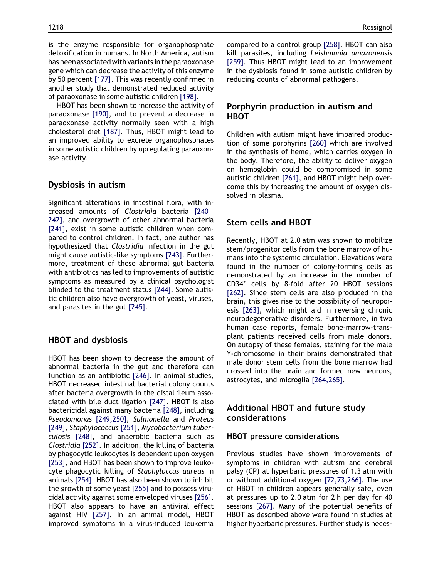is the enzyme responsible for organophosphate detoxification in humans. In North America, autism has been associated with variants in the paraoxonase gene which can decrease the activity of this enzyme by 50 percent [\[177\]](#page-16-0). This was recently confirmed in another study that demonstrated reduced activity of paraoxonase in some autistic children [\[198\].](#page-17-0)

HBOT has been shown to increase the activity of paraoxonase [\[190\]](#page-17-0), and to prevent a decrease in paraoxonase activity normally seen with a high cholesterol diet [\[187\]](#page-17-0). Thus, HBOT might lead to an improved ability to excrete organophosphates in some autistic children by upregulating paraoxonase activity.

## Dysbiosis in autism

Significant alterations in intestinal flora, with increased amounts of Clostridia bacteria [\[240–](#page-18-0) [242\],](#page-18-0) and overgrowth of other abnormal bacteria [\[241\]](#page-18-0), exist in some autistic children when compared to control children. In fact, one author has hypothesized that Clostridia infection in the gut might cause autistic-like symptoms [\[243\].](#page-18-0) Furthermore, treatment of these abnormal gut bacteria with antibiotics has led to improvements of autistic symptoms as measured by a clinical psychologist blinded to the treatment status [\[244\]](#page-18-0). Some autistic children also have overgrowth of yeast, viruses, and parasites in the gut [\[245\]](#page-18-0).

## HBOT and dysbiosis

HBOT has been shown to decrease the amount of abnormal bacteria in the gut and therefore can function as an antibiotic [\[246\]](#page-18-0). In animal studies, HBOT decreased intestinal bacterial colony counts after bacteria overgrowth in the distal ileum associated with bile duct ligation [\[247\].](#page-18-0) HBOT is also bactericidal against many bacteria [\[248\],](#page-18-0) including Pseudomonas [\[249,250\],](#page-18-0) Salmonella and Proteus [\[249\]](#page-18-0), Staphylococcus [\[251\]](#page-18-0), Mycobacterium tuberculosis [\[248\],](#page-18-0) and anaerobic bacteria such as Clostridia [\[252\].](#page-18-0) In addition, the killing of bacteria by phagocytic leukocytes is dependent upon oxygen [\[253\]](#page-18-0), and HBOT has been shown to improve leukocyte phagocytic killing of Staphyloccus aureus in animals [\[254\].](#page-18-0) HBOT has also been shown to inhibit the growth of some yeast [\[255\]](#page-18-0) and to possess virucidal activity against some enveloped viruses [\[256\].](#page-18-0) HBOT also appears to have an antiviral effect against HIV [\[257\]](#page-18-0). In an animal model, HBOT improved symptoms in a virus-induced leukemia

compared to a control group [\[258\].](#page-18-0) HBOT can also kill parasites, including Leishmania amazonensis [\[259\]](#page-18-0). Thus HBOT might lead to an improvement in the dysbiosis found in some autistic children by reducing counts of abnormal pathogens.

## Porphyrin production in autism and HBOT

Children with autism might have impaired production of some porphyrins [\[260\]](#page-19-0) which are involved in the synthesis of heme, which carries oxygen in the body. Therefore, the ability to deliver oxygen on hemoglobin could be compromised in some autistic children [\[261\]](#page-19-0), and HBOT might help overcome this by increasing the amount of oxygen dissolved in plasma.

## Stem cells and HBOT

Recently, HBOT at 2.0 atm was shown to mobilize stem/progenitor cells from the bone marrow of humans into the systemic circulation. Elevations were found in the number of colony-forming cells as demonstrated by an increase in the number of CD34<sup>+</sup> cells by 8-fold after 20 HBOT sessions [\[262\]](#page-19-0). Since stem cells are also produced in the brain, this gives rise to the possibility of neuropoiesis [\[263\]](#page-19-0), which might aid in reversing chronic neurodegenerative disorders. Furthermore, in two human case reports, female bone-marrow-transplant patients received cells from male donors. On autopsy of these females, staining for the male Y-chromosome in their brains demonstrated that male donor stem cells from the bone marrow had crossed into the brain and formed new neurons, astrocytes, and microglia [\[264,265\]](#page-19-0).

## Additional HBOT and future study considerations

#### HBOT pressure considerations

Previous studies have shown improvements of symptoms in children with autism and cerebral palsy (CP) at hyperbaric pressures of 1.3 atm with or without additional oxygen [\[72,73,266\]](#page-14-0). The use of HBOT in children appears generally safe, even at pressures up to 2.0 atm for 2 h per day for 40 sessions [\[267\]](#page-19-0). Many of the potential benefits of HBOT as described above were found in studies at higher hyperbaric pressures. Further study is neces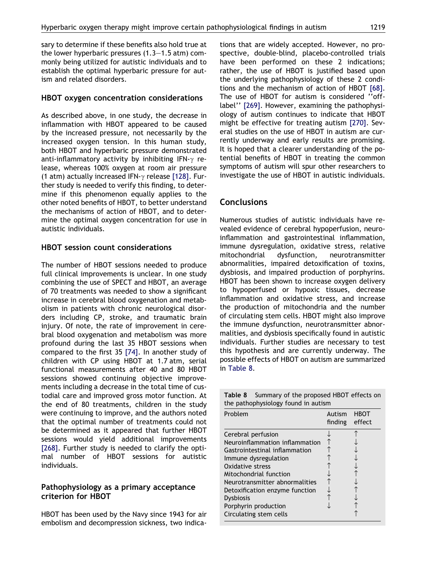sary to determine if these benefits also hold true at the lower hyperbaric pressures (1.3–1.5 atm) commonly being utilized for autistic individuals and to establish the optimal hyperbaric pressure for autism and related disorders.

#### HBOT oxygen concentration considerations

As described above, in one study, the decrease in inflammation with HBOT appeared to be caused by the increased pressure, not necessarily by the increased oxygen tension. In this human study, both HBOT and hyperbaric pressure demonstrated anti-inflammatory activity by inhibiting IFN- $\gamma$  release, whereas 100% oxygen at room air pressure (1 atm) actually increased IFN- $\gamma$  release [\[128\]](#page-15-0). Further study is needed to verify this finding, to determine if this phenomenon equally applies to the other noted benefits of HBOT, to better understand the mechanisms of action of HBOT, and to determine the optimal oxygen concentration for use in autistic individuals.

#### HBOT session count considerations

The number of HBOT sessions needed to produce full clinical improvements is unclear. In one study combining the use of SPECT and HBOT, an average of 70 treatments was needed to show a significant increase in cerebral blood oxygenation and metabolism in patients with chronic neurological disorders including CP, stroke, and traumatic brain injury. Of note, the rate of improvement in cerebral blood oxygenation and metabolism was more profound during the last 35 HBOT sessions when compared to the first 35 [\[74\]](#page-14-0). In another study of children with CP using HBOT at 1.7 atm, serial functional measurements after 40 and 80 HBOT sessions showed continuing objective improvements including a decrease in the total time of custodial care and improved gross motor function. At the end of 80 treatments, children in the study were continuing to improve, and the authors noted that the optimal number of treatments could not be determined as it appeared that further HBOT sessions would yield additional improvements [\[268\].](#page-19-0) Further study is needed to clarify the optimal number of HBOT sessions for autistic individuals.

#### Pathophysiology as a primary acceptance criterion for HBOT

HBOT has been used by the Navy since 1943 for air embolism and decompression sickness, two indications that are widely accepted. However, no prospective, double-blind, placebo-controlled trials have been performed on these 2 indications; rather, the use of HBOT is justified based upon the underlying pathophysiology of these 2 conditions and the mechanism of action of HBOT [\[68\]](#page-13-0). The use of HBOT for autism is considered ''offlabel'' [\[269\]](#page-19-0). However, examining the pathophysiology of autism continues to indicate that HBOT might be effective for treating autism [\[270\].](#page-19-0) Several studies on the use of HBOT in autism are currently underway and early results are promising. It is hoped that a clearer understanding of the potential benefits of HBOT in treating the common symptoms of autism will spur other researchers to investigate the use of HBOT in autistic individuals.

## **Conclusions**

Numerous studies of autistic individuals have revealed evidence of cerebral hypoperfusion, neuroinflammation and gastrointestinal inflammation, immune dysregulation, oxidative stress, relative mitochondrial dysfunction, neurotransmitter abnormalities, impaired detoxification of toxins, dysbiosis, and impaired production of porphyrins. HBOT has been shown to increase oxygen delivery to hypoperfused or hypoxic tissues, decrease inflammation and oxidative stress, and increase the production of mitochondria and the number of circulating stem cells. HBOT might also improve the immune dysfunction, neurotransmitter abnormalities, and dysbiosis specifically found in autistic individuals. Further studies are necessary to test this hypothesis and are currently underway. The possible effects of HBOT on autism are summarized in Table 8.

Table 8 Summary of the proposed HBOT effects on the pathophysiology found in autism

| Problem                        | Autism<br>finding | HBOT<br>effect |
|--------------------------------|-------------------|----------------|
| Cerebral perfusion             |                   |                |
| Neuroinflammation inflammation |                   |                |
| Gastrointestinal inflammation  |                   |                |
| Immune dysregulation           |                   |                |
| Oxidative stress               |                   |                |
| Mitochondrial function         |                   |                |
| Neurotransmitter abnormalities |                   |                |
| Detoxification enzyme function |                   |                |
| <b>Dysbiosis</b>               |                   |                |
| Porphyrin production           |                   |                |
| Circulating stem cells         |                   |                |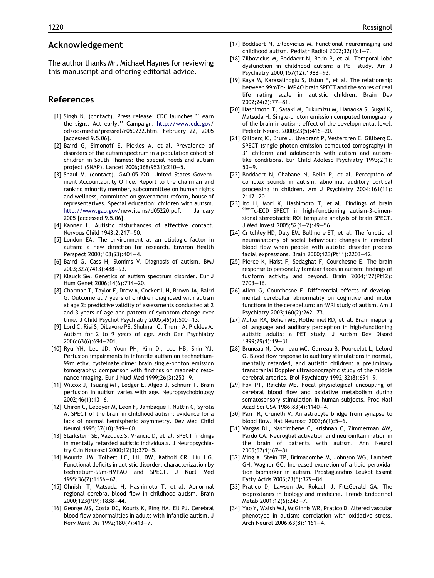#### <span id="page-12-0"></span>Acknowledgement

The author thanks Mr. Michael Haynes for reviewing this manuscript and offering editorial advice.

#### References

- [1] Singh N. (contact). Press release: CDC launches ''Learn the signs. Act early.'' Campaign. <http://www.cdc.gov>/ od/oc/media/pressrel/r050222.htm. February 22, 2005 [accessed 9.5.06].
- [2] Baird G, Simonoff E, Pickles A, et al. Prevalence of disorders of the autism spectrum in a population cohort of children in South Thames: the special needs and autism project (SNAP). Lancet 2006;368(9531):210–5.
- [3] Shaul M. (contact). GAO-05-220. United States Government Accountability Office. Report to the chairman and ranking minority member, subcommittee on human rights and wellness, committee on government reform, house of representatives. Special education: children with autism. [http://www.gao.gov/](http://www.gao.gov)new.items/d05220.pdf. January 2005 [accessed 9.5.06].
- [4] Kanner L. Autistic disturbances of affective contact. Nervous Child 1943;2:217–50.
- [5] London EA. The environment as an etiologic factor in autism: a new direction for research. Environ Health Perspect 2000;108(S3):401–4.
- [6] Baird G, Cass H, Slonims V. Diagnosis of autism. BMJ 2003;327(7413):488–93.
- [7] Klauck SM. Genetics of autism spectrum disorder. Eur J Hum Genet 2006;14(6):714–20.
- [8] Charman T, Taylor E, Drew A, Cockerill H, Brown JA, Baird G. Outcome at 7 years of children diagnosed with autism at age 2: predictive validity of assessments conducted at 2 and 3 years of age and pattern of symptom change over time. J Child Psychol Psychiatry 2005;46(5):500–13.
- [9] Lord C, Risi S, DiLavore PS, Shulman C, Thurm A, Pickles A. Autism for 2 to 9 years of age. Arch Gen Psychiatry 2006;63(6):694–701.
- [10] Ryu YH, Lee JD, Yoon PH, Kim DI, Lee HB, Shin YJ. Perfusion impairments in infantile autism on technetium-99m ethyl cysteinate dimer brain single-photon emission tomography: comparison with findings on magnetic resonance imaging. Eur J Nucl Med 1999;26(3):253–9.
- [11] Wilcox J, Tsuang MT, Ledger E, Algeo J, Schnurr T. Brain perfusion in autism varies with age. Neuropsychobiology 2002;46(1):13–6.
- [12] Chiron C, Leboyer M, Leon F, Jambaque I, Nuttin C, Syrota A. SPECT of the brain in childhood autism: evidence for a lack of normal hemispheric asymmetry. Dev Med Child Neurol 1995;37(10):849–60.
- [13] Starkstein SE, Vazquez S, Vrancic D, et al. SPECT findings in mentally retarded autistic individuals. J Neuropsychiatry Clin Neurosci 2000;12(3):370–5.
- [14] Mountz JM, Tolbert LC, Lill DW, Katholi CR, Liu HG. Functional deficits in autistic disorder: characterization by technetium-99m-HMPAO and SPECT. J Nucl Med 1995;36(7):1156–62.
- [15] Ohnishi T, Matsuda H, Hashimoto T, et al. Abnormal regional cerebral blood flow in childhood autism. Brain 2000;123(Pt9):1838–44.
- [16] George MS, Costa DC, Kouris K, Ring HA, Ell PJ. Cerebral blood flow abnormalities in adults with infantile autism. J Nerv Ment Dis 1992;180(7):413–7.
- [17] Boddaert N, Zilbovicius M. Functional neuroimaging and childhood autism. Pediatr Radiol 2002;32(1):1–7.
- [18] Zilbovicius M, Boddaert N, Belin P, et al. Temporal lobe dysfunction in childhood autism: a PET study. Am J Psychiatry 2000;157(12):1988–93.
- [19] Kaya M, Karasalihoglu S, Ustun F, et al. The relationship between 99mTc-HMPAO brain SPECT and the scores of real life rating scale in autistic children. Brain Dev 2002;24(2):77–81.
- [20] Hashimoto T, Sasaki M, Fukumizu M, Hanaoka S, Sugai K, Matsuda H. Single-photon emission computed tomography of the brain in autism: effect of the developmental level. Pediatr Neurol 2000;23(5):416–20.
- [21] Gillberg IC, Bjure J, Uvebrant P, Vestergren E, Gillberg C. SPECT (single photon emission computed tomography) in 31 children and adolescents with autism and autismlike conditions. Eur Child Adolesc Psychiatry 1993;2(1): 50–9.
- [22] Boddaert N, Chabane N, Belin P, et al. Perception of complex sounds in autism: abnormal auditory cortical processing in children. Am J Psychiatry 2004;161(11): 2117–20.
- [23] Ito H, Mori K, Hashimoto T, et al. Findings of brain 99mTc-ECD SPECT in high-functioning autism-3-dimensional stereotactic ROI template analysis of brain SPECT. J Med Invest 2005;52(1–2):49–56.
- [24] Critchley HD, Daly EM, Bullmore ET, et al. The functional neuroanatomy of social behaviour: changes in cerebral blood flow when people with autistic disorder process facial expressions. Brain 2000;123(Pt11):2203–12.
- [25] Pierce K, Haist F, Sedaghat F, Courchesne E. The brain response to personally familiar faces in autism: findings of fusiform activity and beyond. Brain 2004;127(Pt12): 2703–16.
- [26] Allen G, Courchesne E. Differential effects of developmental cerebellar abnormality on cognitive and motor functions in the cerebellum: an fMRI study of autism. Am J Psychiatry 2003;160(2):262–73.
- [27] Muller RA, Behen ME, Rothermel RD, et al. Brain mapping of language and auditory perception in high-functioning autistic adults: a PET study. J Autism Dev Disord 1999;29(1):19–31.
- [28] Bruneau N, Dourneau MC, Garreau B, Pourcelot L, Lelord G. Blood flow response to auditory stimulations in normal, mentally retarded, and autistic children: a preliminary transcranial Doppler ultrasonographic study of the middle cerebral arteries. Biol Psychiatry 1992;32(8):691–9.
- [29] Fox PT, Raichle ME. Focal physiological uncoupling of cerebral blood flow and oxidative metabolism during somatosensory stimulation in human subjects. Proc Natl Acad Sci USA 1986;83(4):1140–4.
- [30] Parri R, Crunelli V. An astrocyte bridge from synapse to blood flow. Nat Neurosci 2003;6(1):5–6.
- [31] Vargas DL, Nascimbene C, Krishnan C, Zimmerman AW, Pardo CA. Neuroglial activation and neuroinflammation in the brain of patients with autism. Ann Neurol 2005;57(1):67–81.
- [32] Ming X, Stein TP, Brimacombe M, Johnson WG, Lambert GH, Wagner GC. Increased excretion of a lipid peroxidation biomarker in autism. Prostaglandins Leukot Essent Fatty Acids 2005;73(5):379–84.
- [33] Pratico D, Lawson JA, Rokach J, FitzGerald GA. The isoprostanes in biology and medicine. Trends Endocrinol Metab 2001;12(6):243–7.
- [34] Yao Y, Walsh WJ, McGinnis WR, Pratico D. Altered vascular phenotype in autism: correlation with oxidative stress. Arch Neurol 2006;63(8):1161–4.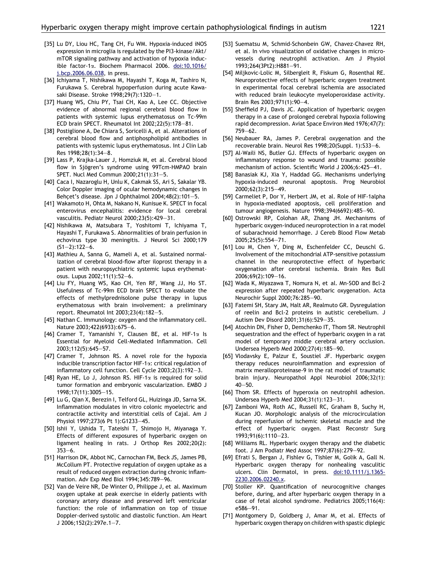- <span id="page-13-0"></span>[35] Lu DY, Liou HC, Tang CH, Fu WM, Hypoxia-induced iNOS expression in microglia is regulated by the PI3-kinase/Akt/ mTOR signaling pathway and activation of hypoxia inducible factor-1a. Biochem Pharmacol 2006. [doi:10.1016/](http://dx.doi.org/10.1016/j.bcp.2006.06.038) [j.bcp.2006.06.038](http://dx.doi.org/10.1016/j.bcp.2006.06.038), in press.
- [36] Ichiyama T, Nishikawa M, Hayashi T, Koga M, Tashiro N, Furukawa S. Cerebral hypoperfusion during acute Kawasaki Disease. Stroke 1998;29(7):1320–1.
- [37] Huang WS, Chiu PY, Tsai CH, Kao A, Lee CC. Objective evidence of abnormal regional cerebral blood flow in patients with systemic lupus erythematosus on Tc-99m ECD brain SPECT. Rheumatol Int 2002;22(5):178–81.
- [38] Postiglione A, De Chiara S, Soricelli A, et al. Alterations of cerebral blood flow and antiphospholipid antibodies in patients with systemic lupus erythematosus. Int J Clin Lab Res 1998;28(1):34–8.
- [39] Lass P, Krajka-Lauer J, Homziuk M, et al. Cerebral blood flow in Sjögren's syndrome using 99Tcm-HMPAO brain SPET. Nucl Med Commun 2000;21(1):31–5.
- [40] Caca I, Nazaroglu H, Unlu K, Cakmak SS, Ari S, Sakalar YB. Color Doppler imaging of ocular hemodynamic changes in Behcet's disease. Jpn J Ophthalmol  $2004;48(2):101-5$ .
- [41] Wakamoto H, Ohta M, Nakano N, Kunisue K. SPECT in focal enterovirus encephalitis: evidence for local cerebral vasculitis. Pediatr Neurol 2000;23(5):429–31.
- [42] Nishikawa M, Matsubara T, Yoshitomi T, Ichiyama T, Hayashi T, Furukawa S. Abnormalities of brain perfusion in echovirus type 30 meningitis. J Neurol Sci 2000;179  $(51-2):122-6.$
- [43] Mathieu A, Sanna G, Mameli A, et al. Sustained normalization of cerebral blood-flow after iloprost therapy in a patient with neuropsychiatric systemic lupus erythematosus. Lupus 2002;11(1):52–6.
- [44] Liu FY, Huang WS, Kao CH, Yen RF, Wang JJ, Ho ST. Usefulness of Tc-99m ECD brain SPECT to evaluate the effects of methylprednisolone pulse therapy in lupus erythematosus with brain involvement: a preliminary report. Rheumatol Int 2003;23(4):182–5.
- [45] Nathan C. Immunology: oxygen and the inflammatory cell. Nature 2003;422(6933):675–6.
- [46] Cramer T, Yamanishi Y, Clausen BE, et al. HIF-1 $\alpha$  Is Essential for Myeloid Cell-Mediated Inflammation. Cell 2003;112(5):645–57.
- [47] Cramer T, Johnson RS. A novel role for the hypoxia inducible transcription factor HIF-1a: critical regulation of inflammatory cell function. Cell Cycle 2003;2(3):192–3.
- [48] Ryan HE, Lo J, Johnson RS. HIF-1 $\alpha$  is required for solid tumor formation and embryonic vascularization. EMBO J 1998;17(11):3005–15.
- [49] Lu G, Qian X, Berezin I, Telford GL, Huizinga JD, Sarna SK. Inflammation modulates in vitro colonic myoelectric and contractile activity and interstitial cells of Cajal. Am J Physiol 1997;273(6 Pt 1):G1233–45.
- [50] Ishii Y, Ushida T, Tateishi T, Shimojo H, Miyanaga Y. Effects of different exposures of hyperbaric oxygen on ligament healing in rats. J Orthop Res 2002;20(2): 353–6.
- [51] Harrison DK, Abbot NC, Carnochan FM, Beck JS, James PB, McCollum PT. Protective regulation of oxygen uptake as a result of reduced oxygen extraction during chronic inflammation. Adv Exp Med Biol 1994;345:789–96.
- [52] Van de Veire NR, De Winter O, Philippe J, et al. Maximum oxygen uptake at peak exercise in elderly patients with coronary artery disease and preserved left ventricular function: the role of inflammation on top of tissue Doppler-derived systolic and diastolic function. Am Heart J 2006;152(2):297e.1–7.
- [53] Suematsu M, Schmid-Schonbein GW, Chavez-Chavez RH, et al. In vivo visualization of oxidative changes in microvessels during neutrophil activation. Am J Physiol 1993;264(3Pt2):H881–91.
- [54] Miljkovic-Lolic M, Silbergleit R, Fiskum G, Rosenthal RE. Neuroprotective effects of hyperbaric oxygen treatment in experimental focal cerebral ischemia are associated with reduced brain leukocyte myeloperoxidase activity. Brain Res 2003;971(1):90–4.
- [55] Sheffield PJ, Davis JC. Application of hyperbaric oxygen therapy in a case of prolonged cerebral hypoxia following rapid decompression. Aviat Space Environ Med 1976;47(7): 759–62.
- [56] Neubauer RA, James P. Cerebral oxygenation and the recoverable brain. Neurol Res 1998;20(Suppl. 1):S33–6.
- [57] Al-Waili NS, Butler GJ. Effects of hyperbaric oxygen on inflammatory response to wound and trauma: possible mechanism of action. Scientific World J 2006;6:425–41.
- [58] Banasiak KJ, Xia Y, Haddad GG. Mechanisms underlying hypoxia-induced neuronal apoptosis. Prog Neurobiol 2000;62(3):215–49.
- [59] Carmeliet P, Dor Y, Herbert JM, et al. Role of HIF-1alpha in hypoxia-mediated apoptosis, cell proliferation and tumour angiogenesis. Nature 1998;394(6692):485–90.
- [60] Ostrowski RP, Colohan AR, Zhang JH. Mechanisms of hyperbaric oxygen-induced neuroprotection in a rat model of subarachnoid hemorrhage. J Cereb Blood Flow Metab 2005;25(5):554–71.
- [61] Lou M, Chen Y, Ding M, Eschenfelder CC, Deuschl G. Involvement of the mitochondrial ATP-sensitive potassium channel in the neuroprotective effect of hyperbaric oxygenation after cerebral ischemia. Brain Res Bull 2006;69(2):109–16.
- [62] Wada K, Miyazawa T, Nomura N, et al. Mn-SOD and Bcl-2 expression after repeated hyperbaric oxygenation. Acta Neurochir Suppl 2000;76:285–90.
- [63] Fatemi SH, Stary JM, Halt AR, Realmuto GR. Dysregulation of reelin and Bcl-2 proteins in autistic cerebellum. J Autism Dev Disord 2001;31(6):529–35.
- [64] Atochin DN, Fisher D, Demchenko IT, Thom SR. Neutrophil sequestration and the effect of hyperbaric oxygen in a rat model of temporary middle cerebral artery occlusion. Undersea Hyperb Med 2000;27(4):185–90.
- [65] Vlodavsky E, Palzur E, Soustiel JF. Hyperbaric oxygen therapy reduces neuroinflammation and expression of matrix meralloproteinase-9 in the rat model of traumatic brain injury. Neuropathol Appl Neurobiol 2006;32(1): 40–50.
- [66] Thom SR. Effects of hyperoxia on neutrophil adhesion. Undersea Hyperb Med 2004;31(1):123–31.
- [67] Zamboni WA, Roth AC, Russell RC, Graham B, Suchy H, Kucan JO. Morphologic analysis of the microcirculation during reperfusion of ischemic skeletal muscle and the effect of hyperbaric oxygen. Plast Reconstr Surg 1993;91(6):1110–23.
- [68] Williams RL. Hyperbaric oxygen therapy and the diabetic foot. J Am Podiatr Med Assoc 1997;87(6):279–92.
- [69] Efrati S, Bergan J, Fishlev G, Tishler M, Golik A, Gall N. Hyperbaric oxygen therapy for nonhealing vasculitic ulcers. Clin Dermatol, in press. [doi:10.1111/j.1365-](http://dx.doi.org/10.1111/j.1365-2230.2006.02240.x) [2230.2006.02240.x.](http://dx.doi.org/10.1111/j.1365-2230.2006.02240.x)
- [70] Stoller KP. Quantification of neurocognitive changes before, during, and after hyperbaric oxygen therapy in a case of fetal alcohol syndrome. Pediatrics 2005;116(4): e586–91.
- [71] Montgomery D, Goldberg J, Amar M, et al. Effects of hyperbaric oxygen therapy on children with spastic diplegic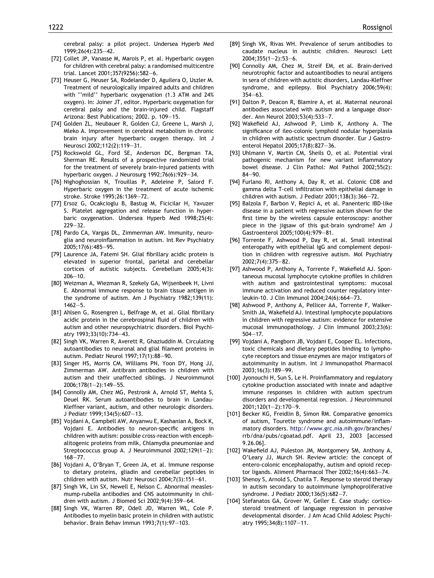cerebral palsy: a pilot project. Undersea Hyperb Med 1999;26(4):235–42.

- <span id="page-14-0"></span>[72] Collet JP, Vanasse M, Marois P, et al. Hyperbaric oxygen for children with cerebral palsy: a randomised multicentre trial. Lancet 2001;357(9256):582–6.
- [73] Heuser G, Heuser SA, Rodelander D, Aguilera O, Uszler M. Treatment of neurologically impaired adults and children with ''mild'' hyperbaric oxygenation (1.3 ATM and 24% oxygen). In: Joiner JT, editor. Hyperbaric oxygenation for cerebral palsy and the brain-injured child. Flagstaff Arizona: Best Publications; 2002. p. 109–15.
- [74] Golden ZL, Neubauer R, Golden CJ, Greene L, Marsh J, Mleko A. Improvement in cerebral metabolism in chronic brain injury after hyperbaric oxygen therapy. Int J Neurosci 2002;112(2):119–31.
- [75] Rockswold GL, Ford SE, Anderson DC, Bergman TA, Sherman RE. Results of a prospective randomized trial for the treatment of severely brain-injured patients with hyperbaric oxygen. J Neurosurg 1992;76(6):929–34.
- [76] Nighoghossian N, Trouillas P, Adeleine P, Salord F. Hyperbaric oxygen in the treatment of acute ischemic stroke. Stroke 1995;26:1369–72.
- [77] Ersoz G, Ocakcioglu B, Bastug M, Ficicilar H, Yavuzer S. Platelet aggregation and release function in hyperbaric oxygenation. Undersea Hyperb Med 1998;25(4): 229–32.
- [78] Pardo CA, Vargas DL, Zimmerman AW. Immunity, neuroglia and neuroinflammation in autism. Int Rev Psychiatry 2005;17(6):485–95.
- [79] Laurence JA, Fatemi SH. Glial fibrillary acidic protein is elevated in superior frontal, parietal and cerebellar cortices of autistic subjects. Cerebellum 2005;4(3):  $206 - 10.$
- [80] Weizman A, Wiezman R, Szekely GA, Wijsenbeek H, Livni E. Abnormal immune response to brain tissue antigen in the syndrome of autism. Am J Psychiatry 1982;139(11): 1462–5.
- [81] Ahlsen G, Rosengren L, Belfrage M, et al. Glial fibrillary acidic protein in the cerebrospinal fluid of children with autism and other neuropsychiatric disorders. Biol Psychiatry 1993;33(10):734–43.
- [82] Singh VK, Warren R, Averett R, Ghaziuddin M. Circulating autoantibodies to neuronal and glial filament proteins in autism. Pediatr Neurol 1997;17(1):88–90.
- [83] Singer HS, Morris CM, Williams PN, Yoon DY, Hong JJ, Zimmerman AW. Antibrain antibodies in children with autism and their unaffected siblings. J Neuroimmunol 2006;178(1–2):149–55.
- [84] Connolly AM, Chez MG, Pestronk A, Arnold ST, Mehta S, Deuel RK. Serum autoantibodies to brain in Landau-Kleffner variant, autism, and other neurologic disorders. J Pediatr 1999;134(5):607–13.
- [85] Vojdani A, Campbell AW, Anyanwu E, Kashanian A, Bock K, Vojdani E. Antibodies to neuron-specific antigens in children with autism: possible cross-reaction with encephalitogenic proteins from milk, Chlamydia pneumoniae and Streptococcus group A. J Neuroimmunol 2002;129(1–2): 168–77.
- [86] Vojdani A, O'Bryan T, Green JA, et al. Immune response to dietary proteins, gliadin and cerebellar peptides in children with autism. Nutr Neurosci 2004;7(3):151–61.
- [87] Singh VK, Lin SX, Newell E, Nelson C. Abnormal measlesmump-rubella antibodies and CNS autoimmunity in children with autism. J Biomed Sci 2002;9(4):359–64.
- [88] Singh VK, Warren RP, Odell JD, Warren WL, Cole P. Antibodies to myelin basic protein in children with autistic behavior. Brain Behav Immun 1993;7(1):97–103.
- [89] Singh VK, Rivas WH. Prevalence of serum antibodies to caudate nucleus in autistic children. Neurosci Lett 2004;355(1–2):53–6.
- [90] Connolly AM, Chez M, Streif EM, et al. Brain-derived neurotrophic factor and autoantibodies to neural antigens in sera of children with autistic disorders, Landau-Kleffner syndrome, and epilepsy. Biol Psychiatry 2006;59(4): 354–63.
- [91] Dalton P, Deacon R, Blamire A, et al. Maternal neuronal antibodies associated with autism and a language disorder. Ann Neurol 2003;53(4):533–7.
- [92] Wakefield AJ, Ashwood P, Limb K, Anthony A. The significance of ileo-colonic lymphoid nodular hyperplasia in children with autistic spectrum disorder. Eur J Gastroenterol Hepatol 2005;17(8):827–36.
- [93] Uhlmann V, Martin CM, Sheils O, et al. Potential viral pathogenic mechanism for new variant inflammatory bowel disease. J Clin Pathol: Mol Pathol 2002;55(2): 84–90.
- [94] Furlano RI, Anthony A, Day R, et al. Colonic CD8 and gamma delta T-cell infiltration with epithelial damage in children with autism. J Pediatr 2001;138(3):366–72.
- [95] Balzola F, Barbon V, Repici A, et al. Panenteric IBD-like disease in a patient with regressive autism shown for the first time by the wireless capsule enteroscopy: another piece in the jigsaw of this gut-brain syndrome? Am J Gastroenterol 2005;100(4):979–81.
- [96] Torrente F, Ashwood P, Day R, et al. Small intestinal enteropathy with epithelial IgG and complement deposition in children with regressive autism. Mol Psychiatry 2002;7(4):375–82.
- [97] Ashwood P, Anthony A, Torrente F, Wakefield AJ. Spontaneous mucosal lymphocyte cytokine profiles in children with autism and gastrointestinal symptoms: mucosal immune activation and reduced counter regulatory interleukin-10. J Clin Immunol 2004;24(6):664–73.
- [98] Ashwood P, Anthony A, Pellicer AA, Torrente F, Walker-Smith JA, Wakefield AJ. Intestinal lymphocyte populations in children with regressive autism: evidence for extensive mucosal immunopathology. J Clin Immunol 2003;23(6): 504–17.
- [99] Vojdani A, Pangborn JB, Vojdani E, Cooper EL. Infections, toxic chemicals and dietary peptides binding to lymphocyte receptors and tissue enzymes are major instigators of autoimmunity in autism. Int J Immunopathol Pharmacol 2003;16(3):189–99.
- [100] Jyonouchi H, Sun S, Le H. Proinflammatory and regulatory cytokine production associated with innate and adaptive immune responses in children with autism spectrum disorders and developmental regression. J Neuroimmunol 2001;120(1–2):170–9.
- [101] Becker KG, Freidlin B, Simon RM. Comparative genomics of autism, Tourette syndrome and autoimmune/inflammatory disorders. [http://www.grc.nia.nih.gov/](http://www.grc.nia.nih.gov)branches/ rrb/dna/pubs/cgoatad.pdf. April 23, 2003 [accessed 9.26.06].
- [102] Wakefield AJ, Puleston JM, Montgomery SM, Anthony A, O'Leary JJ, Murch SH. Review article: the concept of entero-colonic encephalopathy, autism and opioid receptor ligands. Aliment Pharmacol Ther 2002;16(4):663–74.
- [103] Shenoy S, Arnold S, Chatila T. Response to steroid therapy in autism secondary to autoimmune lymphoproliferative syndrome. J Pediatr 2000;136(5):682–7.
- [104] Stefanatos GA, Grover W, Geller E. Case study: corticosteroid treatment of language regression in pervasive developmental disorder. J Am Acad Child Adolesc Psychiatry 1995;34(8):1107–11.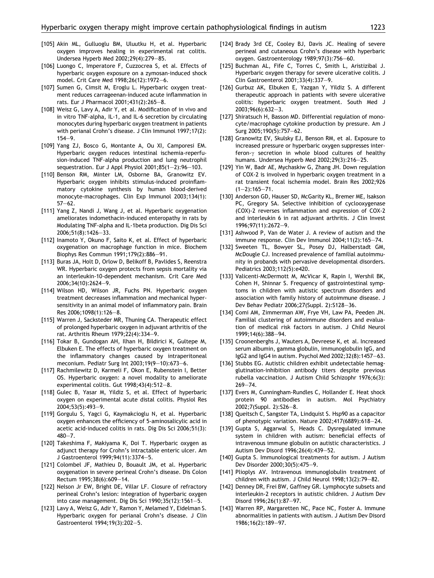- <span id="page-15-0"></span>[105] Akin ML, Gulluoglu BM, Uluutku H, et al. Hyperbaric oxygen improves healing in experimental rat colitis. Undersea Hyperb Med 2002;29(4):279–85.
- [106] Luongo C, Imperatore F, Cuzzocrea S, et al. Effects of hyperbaric oxygen exposure on a zymosan-induced shock model. Crit Care Med 1998;26(12):1972–6.
- [107] Sumen G, Cimsit M, Eroglu L. Hyperbaric oxygen treatment reduces carrageenan-induced acute inflammation in rats. Eur J Pharmacol 2001;431(2):265–8.
- [108] Weisz G, Lavy A, Adir Y, et al. Modification of in vivo and in vitro TNF-alpha, IL-1, and IL-6 secretion by circulating monocytes during hyperbaric oxygen treatment in patients with perianal Crohn's disease. J Clin Immunol 1997;17(2): 154–9.
- [109] Yang ZJ, Bosco G, Montante A, Ou XI, Camporesi EM. Hyperbaric oxygen reduces intestinal ischemia-reperfusion-induced TNF-alpha production and lung neutrophil sequestration. Eur J Appl Physiol 2001;85(1–2):96–103.
- [110] Benson RM, Minter LM, Osborne BA, Granowitz EV. Hyperbaric oxygen inhibits stimulus-induced proinflammatory cytokine synthesis by human blood-derived monocyte-macrophages. Clin Exp Immunol 2003;134(1): 57–62.
- [111] Yang Z, Nandi J, Wang J, et al. Hyperbaric oxygenation ameliorates indomethacin-induced enteropathy in rats by Modulating TNF-alpha and IL-1beta production. Dig Dis Sci 2006;51(8):1426–33.
- [112] Inamoto Y, Okuno F, Saito K, et al. Effect of hyperbaric oxygenation on macrophage function in mice. Biochem Biophys Res Commun 1991;179(2):886–91.
- [113] Buras JA, Holt D, Orlow D, Belikoff B, Pavlides S, Reenstra WR. Hyperbaric oxygen protects from sepsis mortality via an interleukin-10-dependent mechanism. Crit Care Med 2006;34(10):2624–9.
- [114] Wilson HD, Wilson JR, Fuchs PN. Hyperbaric oxygen treatment decreases inflammation and mechanical hypersensitivity in an animal model of inflammatory pain. Brain Res 2006;1098(1):126–8.
- [115] Warren J, Sacksteder MR, Thuning CA. Therapeutic effect of prolonged hyperbaric oxygen in adjuvant arthritis of the rat. Arthritis Rheum 1979;22(4):334–9.
- [116] Tokar B, Gundogan AH, Ilhan H, Bildirici K, Gultepe M, Elbuken E. The effects of hyperbaric oxygen treatment on the inflammatory changes caused by intraperitoneal meconium. Pediatr Surg Int 2003;19(9–10):673–6.
- [117] Rachmilewitz D, Karmeli F, Okon E, Rubenstein I, Better OS. Hyperbaric oxygen: a novel modality to ameliorate experimental colitis. Gut 1998;43(4):512–8.
- [118] Gulec B, Yasar M, Yildiz S, et al. Effect of hyperbaric oxygen on experimental acute distal colitis. Physiol Res 2004;53(5):493–9.
- [119] Gorgulu S, Yagci G, Kaymakcioglu N, et al. Hyperbaric oxygen enhances the efficiency of 5-aminosalicylic acid in acetic acid-induced colitis in rats. Dig Dis Sci 2006;51(3): 480–7.
- [120] Takeshima F, Makiyama K, Doi T. Hyperbaric oxygen as adjunct therapy for Crohn's intractable enteric ulcer. Am J Gastroenterol 1999;94(11):3374–5.
- [121] Colombel JF, Mathieu D, Bouault JM, et al. Hyperbaric oxygenation in severe perineal Crohn's disease. Dis Colon Rectum 1995;38(6):609–14.
- [122] Nelson Jr EW, Bright DE, Villar LF. Closure of refractory perineal Crohn's lesion: integration of hyperbaric oxygen into case management. Dig Dis Sci 1990;35(12):1561–5.
- [123] Lavy A, Weisz G, Adir Y, Ramon Y, Melamed Y, Eidelman S. Hyperbaric oxygen for perianal Crohn's disease. J Clin Gastroenterol 1994;19(3):202–5.
- [124] Brady 3rd CE, Cooley BJ, Davis JC. Healing of severe perineal and cutaneous Crohn's disease with hyperbaric oxygen. Gastroenterology 1989;97(3):756–60.
- [125] Buchman AL, Fife C, Torres C, Smith L, Aristizibal J. Hyperbaric oxygen therapy for severe ulcerative colitis. J Clin Gastroenterol 2001;33(4):337–9.
- [126] Gurbuz AK, Elbuken E, Yazgan Y, Yildiz S. A different therapeutic approach in patients with severe ulcerative colitis: hyperbaric oxygen treatment. South Med J 2003;96(6):632–3.
- [127] Shiratsuch H, Basson MD. Differential regulation of monocyte/macrophage cytokine production by pressure. Am J Surg 2005;190(5):757–62.
- [128] Granowitz EV, Skulsky EJ, Benson RM, et al. Exposure to increased pressure or hyperbaric oxygen suppresses interferon- $\gamma$  secretion in whole blood cultures of healthy humans. Undersea Hyperb Med 2002;29(3):216–25.
- [129] Yin W, Badr AE, Mychaskiw G, Zhang JH. Down regulation of COX-2 is involved in hyperbaric oxygen treatment in a rat transient focal ischemia model. Brain Res 2002;926  $(1-2):165-71.$
- [130] Anderson GD, Hauser SD, McGarity KL, Bremer ME, Isakson PC, Gregory SA. Selective inhibition of cyclooxygenase (COX)-2 reverses inflammation and expression of COX-2 and interleukin 6 in rat adjuvant arthritis. J Clin Invest 1996;97(11):2672–9.
- [131] Ashwood P, Van de Water J. A review of autism and the immune response. Clin Dev Immunol 2004;11(2):165–74.
- [132] Sweeten TL, Bowyer SL, Posey DJ, Halberstadt GM, McDougle CJ. Increased prevalence of familial autoimmunity in probands with pervasive developmental disorders. Pediatrics 2003;112(5):e420.
- [133] Valicenti-McDermott M, McVicar K, Rapin I, Wershil BK, Cohen H, Shinnar S. Frequency of gastrointestinal symptoms in children with autistic spectrum disorders and association with family history of autoimmune disease. J Dev Behav Pediatr 2006;27(Suppl. 2):S128–36.
- [134] Comi AM, Zimmerman AW, Frye VH, Law PA, Peeden JN. Familial clustering of autoimmune disorders and evaluation of medical risk factors in autism. J Child Neurol 1999;14(6):388–94.
- [135] Croonenberghs J, Wauters A, Devreese K, et al. Increased serum albumin, gamma globulin, immunoglobulin IgG, and IgG2 and IgG4 in autism. Psychol Med 2002;32(8):1457–63.
- [136] Stubbs EG. Autistic children exhibit undetectable hemagglutination-inhibition antibody titers despite previous rubella vaccination. J Autism Child Schizophr 1976;6(3): 269–74.
- [137] Evers M, Cunningham-Rundles C, Hollander E. Heat shock protein 90 antibodies in autism. Mol Psychiatry 2002;7(Suppl. 2):S26–8.
- [138] Queitsch C, Sangster TA, Lindquist S. Hsp90 as a capacitor of phenotypic variation. Nature 2002;417(6889):618–24.
- [139] Gupta S, Aggarwal S, Heads C. Dysregulated immune system in children with autism: beneficial effects of intravenous immune globulin on autistic characteristics. J Autism Dev Disord 1996;26(4):439–52.
- [140] Gupta S. Immunological treatments for autism. J Autism Dev Disorder 2000;30(5):475–9.
- [141] Plioplys AV. Intravenous immunoglobulin treatment of children with autism. J Child Neurol 1998;13(2):79–82.
- [142] Denney DR, Frei BW, Gaffney GR. Lymphocyte subsets and interleukin-2 receptors in autistic children. J Autism Dev Disord 1996;26(1):87–97.
- [143] Warren RP, Margaretten NC, Pace NC, Foster A. Immune abnormalities in patients with autism. J Autism Dev Disord 1986;16(2):189–97.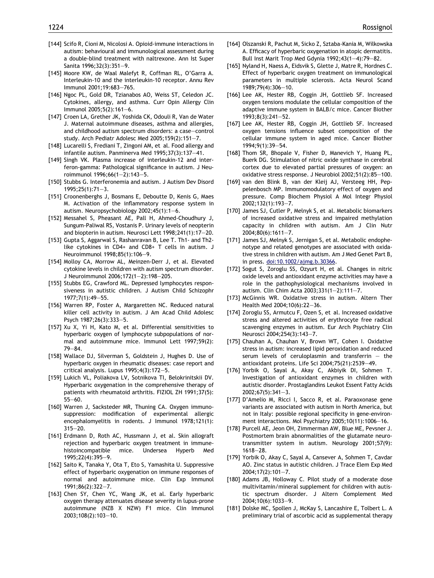- <span id="page-16-0"></span>[144] Scifo R, Cioni M, Nicolosi A. Opioid-immune interactions in autism: behavioural and immunological assessment during a double-blind treatment with naltrexone. Ann Ist Super Sanita 1996;32(3):351–9.
- [145] Moore KW, de Waal Malefyt R, Coffman RL, O'Garra A. Interleukin-10 and the interleukin-10 receptor. Annu Rev Immunol 2001;19:683–765.
- [146] Ngoc PL, Gold DR, Tzianabos AO, Weiss ST, Celedon JC. Cytokines, allergy, and asthma. Curr Opin Allergy Clin Immunol 2005;5(2):161–6.
- [147] Croen LA, Grether JK, Yoshida CK, Odouli R, Van de Water J. Maternal autoimmune diseases, asthma and allergies, and childhood autism spectrum disorders: a case–control study. Arch Pediatr Adolesc Med 2005;159(2):151–7.
- [148] Lucarelli S, Frediani T, Zingoni AM, et al. Food allergy and infantile autism. Panminerva Med 1995;37(3):137–41.
- [149] Singh VK. Plasma increase of interleukin-12 and interferon-gamma: Pathological significance in autism. J Neuroimmunol 1996;66(1–2):143–5.
- [150] Stubbs G. Interferonemia and autism. J Autism Dev Disord 1995;25(1):71–3.
- [151] Croonenberghs J, Bosmans E, Deboutte D, Kenis G, Maes M. Activation of the inflammatory response system in autism. Neuropsychobiology 2002;45(1):1–6.
- [152] Messahel S, Pheasant AE, Pall H, Ahmed-Choudhury J, Sungum-Paliwal RS, Vostanis P. Urinary levels of neopterin and biopterin in autism. Neurosci Lett 1998;241(1):17–20.
- [153] Gupta S, Aggarwal S, Rashanravan B, Lee T. Th1- and Th2 like cytokines in CD4+ and CD8+ T cells in autism. J Neuroimmunol 1998;85(1):106–9.
- [154] Molloy CA, Morrow AL, Meinzen-Derr J, et al. Elevated cytokine levels in children with autism spectrum disorder. J Neuroimmunol 2006;172(1–2):198–205.
- [155] Stubbs EG, Crawford ML. Depressed lymphocytes responsiveness in autistic children. J Autism Child Schizophr 1977;7(1):49–55.
- [156] Warren RP, Foster A, Margaretten NC. Reduced natural killer cell activity in autism. J Am Acad Child Adolesc Psych 1987;26(3):333–5.
- [157] Xu X, Yi H, Kato M, et al. Differential sensitivities to hyperbaric oxygen of lymphocyte subpopulations of normal and autoimmune mice. Immunol Lett 1997;59(2): 79–84.
- [158] Wallace DJ, Silverman S, Goldstein J, Hughes D. Use of hyperbaric oxygen in rheumatic diseases: case report and critical analysis. Lupus 1995;4(3):172–5.
- [159] Lukich VL, Poliakova LV, Sotnikova TI, Belokrinitskii DV. Hyperbaric oxygenation in the comprehensive therapy of patients with rheumatoid arthritis. FIZIOL ZH 1991;37(5): 55–60.
- [160] Warren J, Sacksteder MR, Thuning CA. Oxygen immunosuppression: modification of experimental allergic encephalomyelitis in rodents. J Immunol 1978;121(1): 315–20.
- [161] Erdmann D, Roth AC, Hussmann J, et al. Skin allograft rejection and hyperbaric oxygen treatment in immunehistoincompatible mice. Undersea Hyperb Med 1995;22(4):395–9.
- [162] Saito K, Tanaka Y, Ota T, Eto S, Yamashita U. Suppressive effect of hyperbaric oxygenation on immune responses of normal and autoimmune mice. Clin Exp Immunol 1991;86(2):322–7.
- [163] Chen SY, Chen YC, Wang JK, et al. Early hyperbaric oxygen therapy attenuates disease severity in lupus-prone autoimmune (NZB X NZW) F1 mice. Clin Immunol 2003;108(2):103–10.
- [164] Olszanski R, Pachut M, Sicko Z, Sztaba-Kania M, Wilkowska A. Efficacy of hyperbaric oxygenation in atopic dermatitis. Bull Inst Marit Trop Med Gdynia 1992;43(1–4):79–82.
- [165] Nyland H, Naess A, Eidsvik S, Glette J, Matre R, Hordnes C. Effect of hyperbaric oxygen treatment on immunological parameters in multiple sclerosis. Acta Neurol Scand 1989;79(4):306–10.
- [166] Lee AK, Hester RB, Coggin JH, Gottlieb SF. Increased oxygen tensions modulate the cellular composition of the adaptive immune system in BALB/c mice. Cancer Biother 1993;8(3):241–52.
- [167] Lee AK, Hester RB, Coggin JH, Gottlieb SF. Increased oxygen tensions influence subset composition of the cellular immune system in aged mice. Cancer Biother 1994;9(1):39–54.
- [168] Thom SR, Bhopale V, Fisher D, Manevich Y, Huang PL, Buerk DG. Stimulation of nitric oxide synthase in cerebral cortex due to elevated partial pressures of oxygen: an oxidative stress response. J Neurobiol 2002;51(2):85–100.
- [169] van den Blink B, van der Kleij AJ, Versteeg HH, Peppelenbosch MP. Immunomodulatory effect of oxygen and pressure. Comp Biochem Physiol A Mol Integr Physiol 2002;132(1):193–7.
- [170] James SJ, Cutler P, Melnyk S, et al. Metabolic biomarkers of increased oxidative stress and impaired methylation capacity in children with autism. Am J Clin Nutr 2004;80(6):1611–7.
- [171] James SJ, Melnyk S, Jernigan S, et al. Metabolic endophenotype and related genotypes are associated with oxidative stress in children with autism. Am J Med Genet Part B, in press. [doi:10.1002/ajmg.b.30366](http://dx.doi.org/10.1002/ajmg.b.30366).
- [172] Sogut S, Zoroglu SS, Ozyurt H, et al. Changes in nitric oxide levels and antioxidant enzyme activities may have a role in the pathophysiological mechanisms involved in autism. Clin Chim Acta 2003;331(1–2):111–7.
- [173] McGinnis WR. Oxidative stress in autism. Altern Ther Health Med 2004;10(6):22–36.
- [174] Zoroglu SS, Armutcu F, Ozen S, et al. Increased oxidative stress and altered activities of erythrocyte free radical scavenging enzymes in autism. Eur Arch Psychiatry Clin Neurosci 2004;254(3):143–7.
- [175] Chauhan A, Chauhan V, Brown WT, Cohen I. Oxidative stress in autism: increased lipid peroxidation and reduced serum levels of ceruloplasmin and transferrin  $-$  the antioxidant proteins. Life Sci 2004;75(21):2539–49.
- [176] Yorbik O, Sayal A, Akay C, Akbiyik DI, Sohmen T. Investigation of antioxidant enzymes in children with autistic disorder. Prostaglandins Leukot Essent Fatty Acids 2002;67(5):341–3.
- [177] D'Amelio M, Ricci I, Sacco R, et al. Paraoxonase gene variants are associated with autism in North America, but not in Italy: possible regional specificity in gene-environment interactions. Mol Psychiatry 2005;10(11):1006–16.
- [178] Purcell AE, Jeon OH, Zimmerman AW, Blue ME, Pevsner J. Postmortem brain abnormalities of the glutamate neurotransmitter system in autism. Neurology 2001;57(9): 1618–28.
- [179] Yorbik O, Akay C, Sayal A, Cansever A, Sohmen T, Cavdar AO. Zinc status in autistic children. J Trace Elem Exp Med 2004;17(2):101–7.
- [180] Adams JB, Holloway C. Pilot study of a moderate dose multivitamin/mineral supplement for children with autistic spectrum disorder. J Altern Complement Med 2004;10(6):1033–9.
- [181] Dolske MC, Spollen J, McKay S, Lancashire E, Tolbert L. A preliminary trial of ascorbic acid as supplemental therapy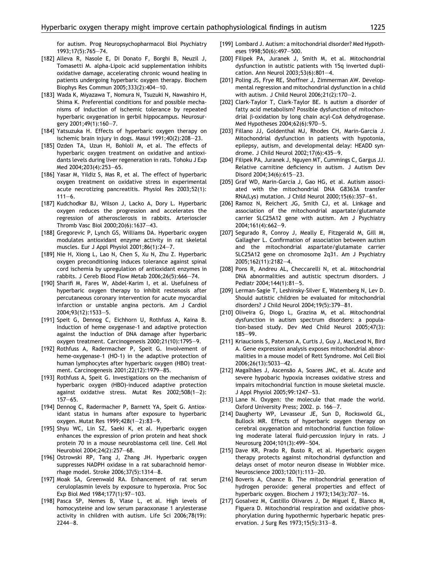for autism. Prog Neuropsychopharmacol Biol Psychiatry 1993;17(5):765–74.

- <span id="page-17-0"></span>[182] Alleva R, Nasole E, Di Donato F, Borghi B, Neuzil J, Tomasetti M. alpha-Lipoic acid supplementation inhibits oxidative damage, accelerating chronic wound healing in patients undergoing hyperbaric oxygen therapy. Biochem Biophys Res Commun 2005;333(2):404–10.
- [183] Wada K, Miyazawa T, Nomura N, Tsuzuki N, Nawashiro H, Shima K. Preferential conditions for and possible mechanisms of induction of ischemic tolerance by repeated hyperbaric oxygenation in gerbil hippocampus. Neurosurgery 2001;49(1):160–7.
- [184] Yatsuzuka H. Effects of hyperbaric oxygen therapy on ischemic brain injury in dogs. Masui 1991;40(2):208–23.
- [185] Ozden TA, Uzun H, Bohloli M, et al. The effects of hyperbaric oxygen treatment on oxidative and antioxidants levels during liver regeneration in rats. Tohoku J Exp Med 2004;203(4):253–65.
- [186] Yasar M, Yildiz S, Mas R, et al. The effect of hyperbaric oxygen treatment on oxidative stress in experimental acute necrotizing pancreatitis. Physiol Res 2003;52(1):  $111 - 6$ .
- [187] Kudchodkar BJ, Wilson J, Lacko A, Dory L. Hyperbaric oxygen reduces the progression and accelerates the regression of atherosclerosis in rabbits. Arterioscler Thromb Vasc Biol 2000;20(6):1637–43.
- [188] Gregorevic P, Lynch GS, Williams DA. Hyperbaric oxygen modulates antioxidant enzyme activity in rat skeletal muscles. Eur J Appl Physiol 2001;86(1):24–7.
- [189] Nie H, Xiong L, Lao N, Chen S, Xu N, Zhu Z. Hyperbaric oxygen preconditioning induces tolerance against spinal cord ischemia by upregulation of antioxidant enzymes in rabbits. J Cereb Blood Flow Metab 2006;26(5):666–74.
- [190] Sharifi M, Fares W, Abdel-Karim I, et al. Usefulness of hyperbaric oxygen therapy to inhibit restenosis after percutaneous coronary intervention for acute myocardial infarction or unstable angina pectoris. Am J Cardiol 2004;93(12):1533–5.
- [191] Speit G, Dennog C, Eichhorn U, Rothfuss A, Kaina B. Induction of heme oxygenase-1 and adaptive protection against the induction of DNA damage after hyperbaric oxygen treatment. Carcinogenesis 2000;21(10):1795–9.
- [192] Rothfuss A, Radermacher P, Speit G. Involvement of heme-oxygenase-1 (HO-1) in the adaptive protection of human lymphocytes after hyperbaric oxygen (HBO) treatment. Carcinogenesis 2001;22(12):1979–85.
- [193] Rothfuss A, Speit G. Investigations on the mechanism of hyperbaric oxygen (HBO)-induced adaptive protection against oxidative stress. Mutat Res 2002;508(1–2): 157–65.
- [194] Dennog C, Radermacher P, Barnett YA, Speit G. Antioxidant status in humans after exposure to hyperbaric oxygen. Mutat Res 1999;428(1–2):83–9.
- [195] Shyu WC, Lin SZ, Saeki K, et al. Hyperbaric oxygen enhances the expression of prion protein and heat shock protein 70 in a mouse neuroblastoma cell line. Cell Mol Neurobiol 2004;24(2):257–68.
- [196] Ostrowski RP, Tang J, Zhang JH. Hyperbaric oxygen suppresses NADPH oxidase in a rat subarachnoid hemorrhage model. Stroke 2006;37(5):1314–8.
- [197] Moak SA, Greenwald RA. Enhancement of rat serum ceruloplasmin levels by exposure to hyperoxia. Proc Soc Exp Biol Med 1984;177(1):97–103.
- [198] Pasca SP, Nemes B, Vlase L, et al. High levels of homocysteine and low serum paraoxonase 1 arylesterase activity in children with autism. Life Sci 2006;78(19): 2244–8.
- [199] Lombard J. Autism: a mitochondrial disorder? Med Hypotheses 1998;50(6):497–500.
- [200] Filipek PA, Juranek J, Smith M, et al. Mitochondrial dysfunction in autistic patients with 15q inverted duplication. Ann Neurol 2003;53(6):801–4.
- [201] Poling JS, Frye RE, Shoffner J, Zimmerman AW. Developmental regression and mitochondrial dysfunction in a child with autism. J Child Neurol 2006;21(2):170–2.
- [202] Clark-Taylor T, Clark-Taylor BE. Is autism a disorder of fatty acid metabolism? Possible dysfunction of mitochondrial b-oxidation by long chain acyl-CoA dehydrogenase. Med Hypotheses 2004;62(6):970–5.
- [203] Fillano JJ, Goldenthal MJ, Rhodes CH, Marin-Garcia J. Mitochondrial dysfunction in patients with hypotonia, epilepsy, autism, and developmental delay: HEADD syndrome. J Child Neurol 2002;17(6):435–9.
- [204] Filipek PA, Juranek J, Nguyen MT, Cummings C, Gargus JJ. Relative carnitine deficiency in autism. J Autism Dev Disord 2004;34(6):615–23.
- [205] Graf WD, Marin-Garcia J, Gao HG, et al. Autism associated with the mitochondrial DNA G8363A transfer RNA(Lys) mutation. J Child Neurol 2000;15(6):357–61.
- [206] Ramoz N, Reichert JG, Smith CJ, et al. Linkage and association of the mitochondrial aspartate/glutamate carrier SLC25A12 gene with autism. Am J Psychiatry 2004;161(4):662–9.
- [207] Segurado R, Conroy J, Meally E, Fitzgerald M, Gill M, Gallagher L. Confirmation of association between autism and the mitochondrial aspartate/glutamate carrier SLC25A12 gene on chromosome 2q31. Am J Psychiatry 2005;162(11):2182–4.
- [208] Pons R, Andreu AL, Checcarelli N, et al. Mitochondrial DNA abnormalities and autistic spectrum disorders. J Pediatr 2004;144(1):81–5.
- [209] Lerman-Sagie T, Leshinsky-Silver E, Watemberg N, Lev D. Should autistic children be evaluated for mitochondrial disorders? J Child Neurol 2004;19(5):379–81.
- [210] Oliveira G, Diogo L, Grazina M, et al. Mitochondrial dysfunction in autism spectrum disorders: a population-based study. Dev Med Child Neurol 2005;47(3): 185–99.
- [211] Kriaucionis S, Paterson A, Curtis J, Guy J, MacLeod N, Bird A. Gene expression analysis exposes mitochondrial abnormalities in a mouse model of Rett Syndrome. Mol Cell Biol 2006;26(13):5033–42.
- [212] Magalhães J, Ascensão A, Soares JMC, et al. Acute and severe hypobaric hypoxia increases oxidative stress and impairs mitochondrial function in mouse skeletal muscle. J Appl Physiol 2005;99:1247–53.
- [213] Lane N. Oxygen: the molecule that made the world. Oxford University Press; 2002. p. 166–7.
- [214] Daugherty WP, Levasseur JE, Sun D, Rockswold GL, Bullock MR. Effects of hyperbaric oxygen therapy on cerebral oxygenation and mitochondrial function following moderate lateral fluid-percussion injury in rats. J Neurosurg 2004;101(3):499–504.
- [215] Dave KR, Prado R, Busto R, et al. Hyperbaric oxygen therapy protects against mitochondrial dysfunction and delays onset of motor neuron disease in Wobbler mice. Neuroscience 2003;120(1):113–20.
- [216] Boveris A, Chance B. The mitochondrial generation of hydrogen peroxide: general properties and effect of hyperbaric oxygen. Biochem J 1973;134(3):707–16.
- [217] Gosalvez M, Castillo Olivares J, De Miguel E, Blanco M, Figuera D. Mitochondrial respiration and oxidative phosphorylation during hypothermic hyperbaric hepatic preservation. J Surg Res 1973;15(5):313–8.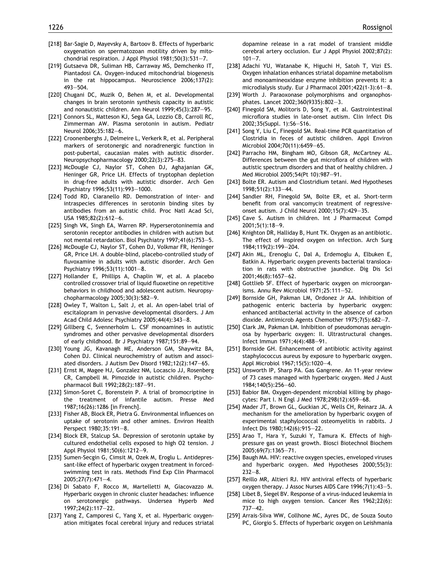- <span id="page-18-0"></span>[218] Bar-Sagie D, Mayevsky A, Bartoov B. Effects of hyperbaric oxygenation on spermatozoan motility driven by mitochondrial respiration. J Appl Physiol 1981;50(3):531–7.
- [219] Gutsaeva DR, Suliman HB, Carraway MS, Demchenko IT, Piantadosi CA. Oxygen-induced mitochondrial biogenesis in the rat hippocampus. Neuroscience 2006;137(2): 493–504.
- [220] Chugani DC, Muzik O, Behen M, et al. Developmental changes in brain serotonin synthesis capacity in autistic and nonautistic children. Ann Neurol 1999;45(3):287–95.
- [221] Connors SL, Matteson KJ, Sega GA, Lozzio CB, Carroll RC, Zimmerman AW. Plasma serotonin in autism. Pediatr Neurol 2006;35:182–6.
- [222] Croonenberghs J, Delmeire L, Verkerk R, et al. Peripheral markers of serotonergic and noradrenergic function in post-pubertal, caucasian males with autistic disorder. Neuropsychopharmacology 2000;22(3):275–83.
- [223] McDougle CJ, Naylor ST, Cohen DJ, Aghajanian GK, Heninger GR, Price LH. Effects of tryptophan depletion in drug-free adults with autistic disorder. Arch Gen Psychiatry 1996;53(11):993–1000.
- [224] Todd RD, Ciaranello RD. Demonstration of inter- and intraspecies differences in serotonin binding sites by antibodies from an autistic child. Proc Natl Acad Sci, USA 1985;82(2):612–6.
- [225] Singh VK, Singh EA, Warren RP. Hyperserotoninemia and serotonin receptor antibodies in children with autism but not mental retardation. Biol Psychiatry 1997;41(6):753–5.
- [226] McDougle CJ, Naylor ST, Cohen DJ, Volkmar FR, Heninger GR, Price LH. A double-blind, placebo-controlled study of fluvoxamine in adults with autistic disorder. Arch Gen Psychiatry 1996;53(11):1001–8.
- [227] Hollander E, Phillips A, Chaplin W, et al. A placebo controlled crossover trial of liquid fluoxetine on repetitive behaviors in childhood and adolescent autism. Neuropsychopharmacology 2005;30(3):582–9.
- [228] Owley T, Walton L, Salt J, et al. An open-label trial of escitalopram in pervasive developmental disorders. J Am Acad Child Adolesc Psychiatry 2005;44(4):343–8.
- [229] Gillberg C, Svennerholm L. CSF monoamines in autistic syndromes and other pervasive developmental disorders of early childhood. Br J Psychiatry 1987;151:89–94.
- [230] Young JG, Kavanagh ME, Anderson GM, Shaywitz BA, Cohen DJ. Clinical neurochemistry of autism and associated disorders. J Autism Dev Disord 1982;12(2):147–65.
- [231] Ernst M, Magee HJ, Gonzalez NM, Locascio JJ, Rosenberg CR, Campbell M. Pimozide in autistic children. Psychopharmacol Bull 1992;28(2):187–91.
- [232] Simon-Soret C, Borenstein P. A trial of bromocriptine in the treatment of infantile autism. Presse Med 1987;16(26):1286 [in French].
- [233] Fisher AB, Block ER, Pietra G. Environmental influences on uptake of serotonin and other amines. Environ Health Perspect 1980;35:191–8.
- [234] Block ER, Stalcup SA. Depression of serotonin uptake by cultured endothelial cells exposed to high O2 tension. J Appl Physiol 1981;50(6):1212–9.
- [235] Sumen-Secgin G, Cimsit M, Ozek M, Eroglu L. Antidepressant-like effect of hyperbaric oxygen treatment in forcedswimming test in rats. Methods Find Exp Clin Pharmacol 2005;27(7):471–4.
- [236] Di Sabato F, Rocco M, Martelletti M, Giacovazzo M. Hyperbaric oxygen in chronic cluster headaches: influence on serotonergic pathways. Undersea Hyperb Med 1997;24(2):117–22.
- [237] Yang Z, Camporesi C, Yang X, et al. Hyperbaric oxygenation mitigates focal cerebral injury and reduces striatal

dopamine release in a rat model of transient middle cerebral artery occlusion. Eur J Appl Physiol 2002;87(2):  $101 - 7$ 

- [238] Adachi YU, Watanabe K, Higuchi H, Satoh T, Vizi ES. Oxygen inhalation enhances striatal dopamine metabolism and monoamineoxidase enzyme inhibition prevents it: a microdialysis study. Eur J Pharmacol 2001;422(1-3):61–8.
- [239] Worth J. Paraoxonase polymorphisms and organophosphates. Lancet 2002;360(9335):802–3.
- [240] Finegold SM, Molitoris D, Song Y, et al. Gastrointestinal microflora studies in late-onset autism. Clin Infect Dis 2002;35(Suppl. 1):S6–S16.
- [241] Song Y, Liu C, Finegold SM. Real-time PCR quantitation of Clostridia in feces of autistic children. Appl Environ Microbiol 2004;70(11):6459–65.
- [242] Parracho HM, Bingham MO, Gibson GR, McCartney AL. Differences between the gut microflora of children with autistic spectrum disorders and that of healthy children. J Med Microbiol 2005;54(Pt 10):987–91.
- [243] Bolte ER. Autism and Clostridium tetani. Med Hypotheses 1998;51(2):133–44.
- [244] Sandler RH, Finegold SM, Bolte ER, et al. Short-term benefit from oral vancomycin treatment of regressiveonset autism. J Child Neurol 2000;15(7):429–35.
- [245] Cave S. Autism in children. Int J Pharmaceut Compd 2001;5(1):18–9.
- [246] Knighton DR, Halliday B, Hunt TK. Oxygen as an antibiotic. The effect of inspired oxygen on infection. Arch Surg 1984;119(2):199–204.
- [247] Akin ML, Erenoglu C, Dal A, Erdemoglu A, Elbuken E, Batkin A. Hyperbaric oxygen prevents bacterial translocation in rats with obstructive jaundice. Dig Dis Sci 2001;46(8):1657–62.
- [248] Gottlieb SF. Effect of hyperbaric oxygen on microorganisms. Annu Rev Microbiol 1971;25:111–52.
- [249] Bornside GH, Pakman LM, Ordonez Jr AA. Inhibition of pathogenic enteric bacteria by hyperbaric oxygen: enhanced antibacterial activity in the absence of carbon dioxide. Antimicrob Agents Chemother 1975;7(5):682–7.
- [250] Clark JM, Pakman LM. Inhibition of pseudomonas aeruginosa by hyperbaric oxygen: II. Ultrastructural changes. Infect Immun 1971;4(4):488–91.
- [251] Bornside GH. Enhancement of antibiotic activity against staphylococcus aureus by exposure to hyperbaric oxygen. Appl Microbiol 1967;15(5):1020–4.
- [252] Unsworth IP, Sharp PA. Gas Gangrene. An 11-year review of 73 cases managed with hyperbaric oxygen. Med J Aust 1984;140(5):256–60.
- [253] Babior BM. Oxygen-dependent microbial killing by phagocytes: Part I. N Engl J Med 1978;298(12):659–68.
- [254] Mader JT, Brown GL, Guckian JC, Wells CH, Reinarz JA. A mechanism for the amelioration by hyperbaric oxygen of experimental staphylococcal osteomyelitis in rabbits. J Infect Dis 1980;142(6):915–22.
- [255] Arao T, Hara Y, Suzuki Y, Tamura K. Effects of highpressure gas on yeast growth. Biosci Biotechnol Biochem 2005;69(7):1365–71.
- [256] Baugh MA. HIV: reactive oxygen species, enveloped viruses and hyperbaric oxygen. Med Hypotheses 2000;55(3): 232–8.
- [257] Reillo MR, Altieri RJ. HIV antiviral effects of hyperbaric oxygen therapy. J Assoc Nurses AIDS Care 1996;7(1):43–5.
- [258] Libet B, Siegel BV. Response of a virus-induced leukemia in mice to high oxygen tension. Cancer Res 1962;22(6): 737–42.
- [259] Arrais-Silva WW, Collhone MC, Ayres DC, de Souza Souto PC, Giorgio S. Effects of hyperbaric oxygen on Leishmania